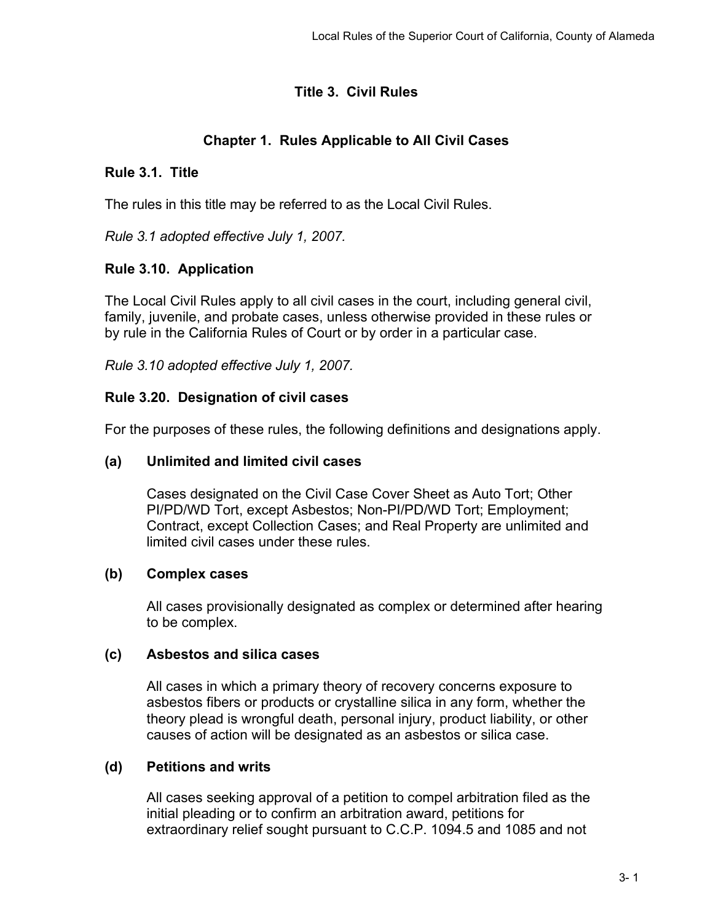# **Title 3. Civil Rules**

# **Chapter 1. Rules Applicable to All Civil Cases**

# **Rule 3.1. Title**

The rules in this title may be referred to as the Local Civil Rules.

*Rule 3.1 adopted effective July 1, 2007.*

# **Rule 3.10. Application**

The Local Civil Rules apply to all civil cases in the court, including general civil, family, juvenile, and probate cases, unless otherwise provided in these rules or by rule in the California Rules of Court or by order in a particular case.

*Rule 3.10 adopted effective July 1, 2007.*

# **Rule 3.20. Designation of civil cases**

For the purposes of these rules, the following definitions and designations apply.

# **(a) Unlimited and limited civil cases**

Cases designated on the Civil Case Cover Sheet as Auto Tort; Other PI/PD/WD Tort, except Asbestos; Non-PI/PD/WD Tort; Employment; Contract, except Collection Cases; and Real Property are unlimited and limited civil cases under these rules.

# **(b) Complex cases**

All cases provisionally designated as complex or determined after hearing to be complex.

# **(c) Asbestos and silica cases**

All cases in which a primary theory of recovery concerns exposure to asbestos fibers or products or crystalline silica in any form, whether the theory plead is wrongful death, personal injury, product liability, or other causes of action will be designated as an asbestos or silica case.

# **(d) Petitions and writs**

All cases seeking approval of a petition to compel arbitration filed as the initial pleading or to confirm an arbitration award, petitions for extraordinary relief sought pursuant to C.C.P. 1094.5 and 1085 and not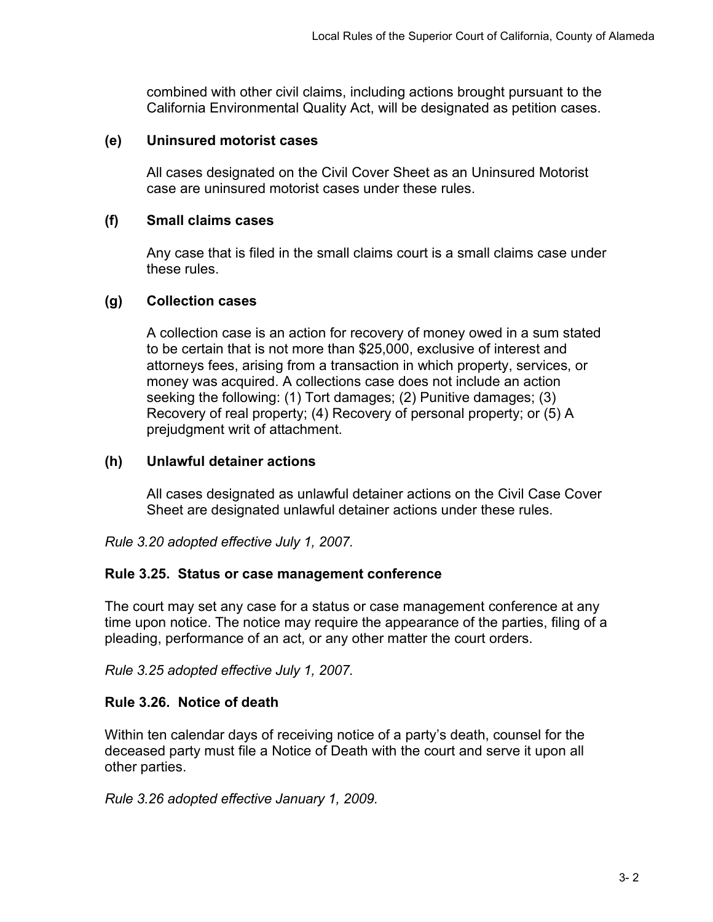combined with other civil claims, including actions brought pursuant to the California Environmental Quality Act, will be designated as petition cases.

#### **(e) Uninsured motorist cases**

All cases designated on the Civil Cover Sheet as an Uninsured Motorist case are uninsured motorist cases under these rules.

#### **(f) Small claims cases**

Any case that is filed in the small claims court is a small claims case under these rules.

#### **(g) Collection cases**

A collection case is an action for recovery of money owed in a sum stated to be certain that is not more than \$25,000, exclusive of interest and attorneys fees, arising from a transaction in which property, services, or money was acquired. A collections case does not include an action seeking the following: (1) Tort damages; (2) Punitive damages; (3) Recovery of real property; (4) Recovery of personal property; or (5) A prejudgment writ of attachment.

#### **(h) Unlawful detainer actions**

All cases designated as unlawful detainer actions on the Civil Case Cover Sheet are designated unlawful detainer actions under these rules.

*Rule 3.20 adopted effective July 1, 2007.*

#### **Rule 3.25. Status or case management conference**

The court may set any case for a status or case management conference at any time upon notice. The notice may require the appearance of the parties, filing of a pleading, performance of an act, or any other matter the court orders.

*Rule 3.25 adopted effective July 1, 2007.*

#### **Rule 3.26. Notice of death**

Within ten calendar days of receiving notice of a party's death, counsel for the deceased party must file a Notice of Death with the court and serve it upon all other parties.

*Rule 3.26 adopted effective January 1, 2009.*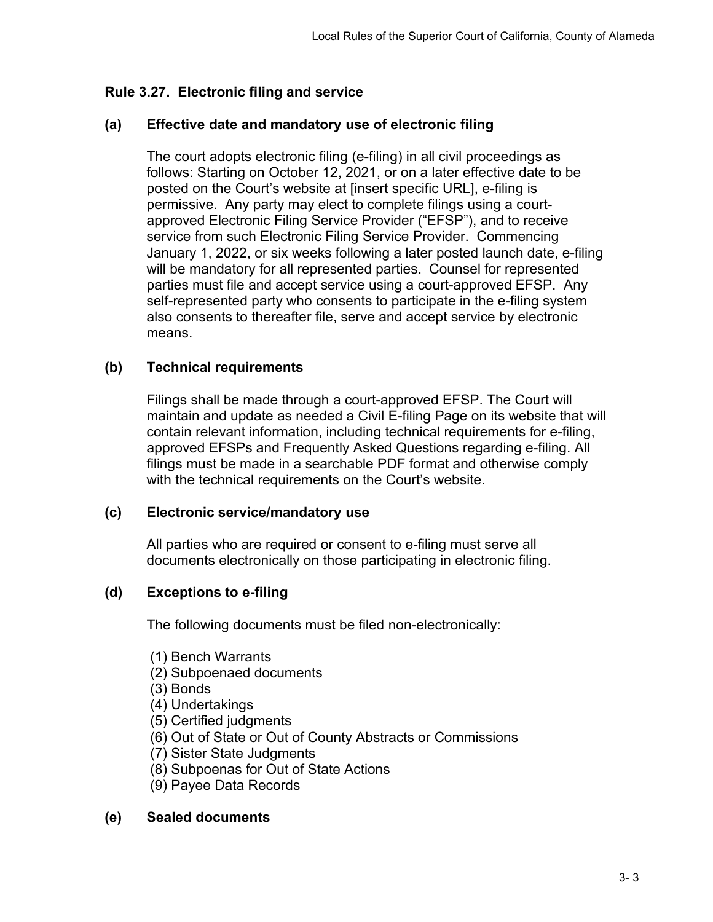# **Rule 3.27. Electronic filing and service**

# **(a) Effective date and mandatory use of electronic filing**

The court adopts electronic filing (e-filing) in all civil proceedings as follows: Starting on October 12, 2021, or on a later effective date to be posted on the Court's website at [insert specific URL], e-filing is permissive. Any party may elect to complete filings using a courtapproved Electronic Filing Service Provider ("EFSP"), and to receive service from such Electronic Filing Service Provider. Commencing January 1, 2022, or six weeks following a later posted launch date, e-filing will be mandatory for all represented parties. Counsel for represented parties must file and accept service using a court-approved EFSP. Any self-represented party who consents to participate in the e-filing system also consents to thereafter file, serve and accept service by electronic means.

## **(b) Technical requirements**

Filings shall be made through a court-approved EFSP. The Court will maintain and update as needed a Civil E-filing Page on its website that will contain relevant information, including technical requirements for e-filing, approved EFSPs and Frequently Asked Questions regarding e-filing. All filings must be made in a searchable PDF format and otherwise comply with the technical requirements on the Court's website.

#### **(c) Electronic service/mandatory use**

All parties who are required or consent to e-filing must serve all documents electronically on those participating in electronic filing.

# **(d) Exceptions to e-filing**

The following documents must be filed non-electronically:

- (1) Bench Warrants
- (2) Subpoenaed documents
- (3) Bonds
- (4) Undertakings
- (5) Certified judgments
- (6) Out of State or Out of County Abstracts or Commissions
- (7) Sister State Judgments
- (8) Subpoenas for Out of State Actions
- (9) Payee Data Records

#### **(e) Sealed documents**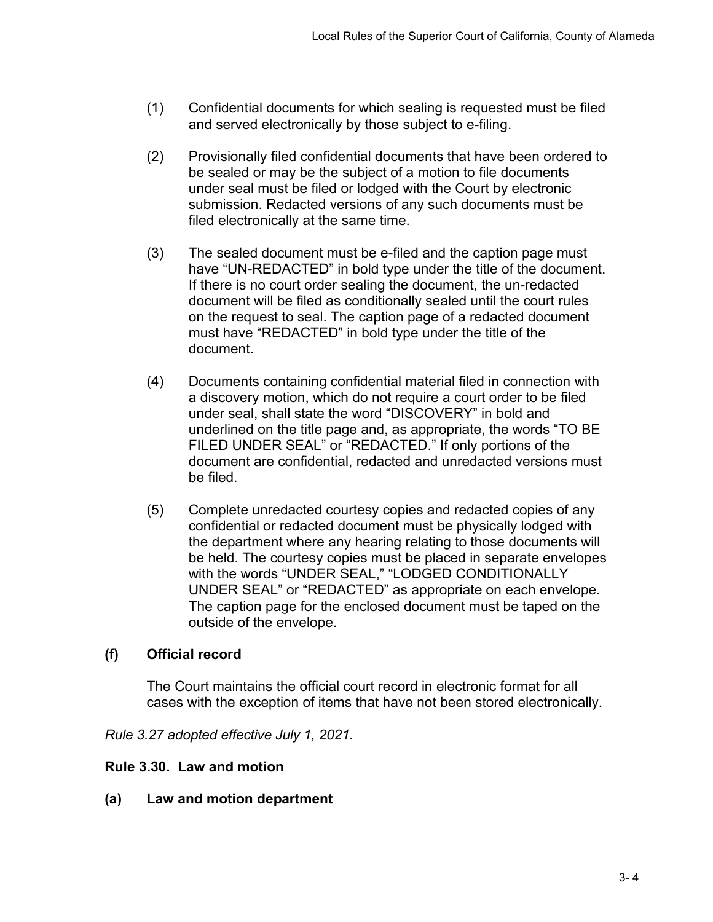- (1) Confidential documents for which sealing is requested must be filed and served electronically by those subject to e-filing.
- (2) Provisionally filed confidential documents that have been ordered to be sealed or may be the subject of a motion to file documents under seal must be filed or lodged with the Court by electronic submission. Redacted versions of any such documents must be filed electronically at the same time.
- (3) The sealed document must be e-filed and the caption page must have "UN-REDACTED" in bold type under the title of the document. If there is no court order sealing the document, the un-redacted document will be filed as conditionally sealed until the court rules on the request to seal. The caption page of a redacted document must have "REDACTED" in bold type under the title of the document.
- (4) Documents containing confidential material filed in connection with a discovery motion, which do not require a court order to be filed under seal, shall state the word "DISCOVERY" in bold and underlined on the title page and, as appropriate, the words "TO BE FILED UNDER SEAL" or "REDACTED." If only portions of the document are confidential, redacted and unredacted versions must be filed.
- (5) Complete unredacted courtesy copies and redacted copies of any confidential or redacted document must be physically lodged with the department where any hearing relating to those documents will be held. The courtesy copies must be placed in separate envelopes with the words "UNDER SEAL," "LODGED CONDITIONALLY UNDER SEAL" or "REDACTED" as appropriate on each envelope. The caption page for the enclosed document must be taped on the outside of the envelope.

# **(f) Official record**

The Court maintains the official court record in electronic format for all cases with the exception of items that have not been stored electronically.

*Rule 3.27 adopted effective July 1, 2021.*

# **Rule 3.30. Law and motion**

**(a) Law and motion department**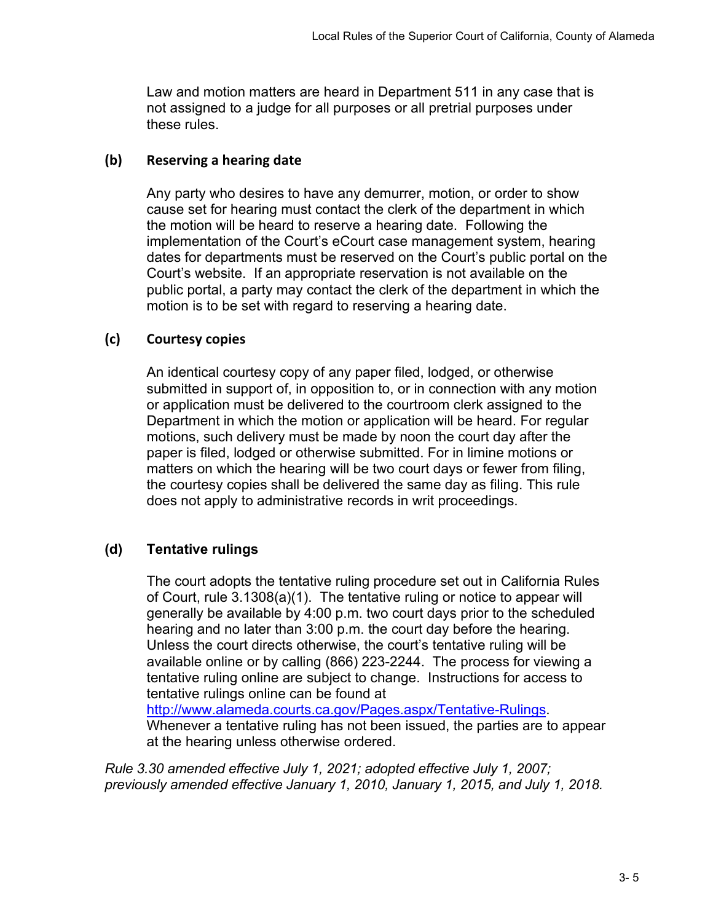Law and motion matters are heard in Department 511 in any case that is not assigned to a judge for all purposes or all pretrial purposes under these rules.

## **(b) Reserving a hearing date**

Any party who desires to have any demurrer, motion, or order to show cause set for hearing must contact the clerk of the department in which the motion will be heard to reserve a hearing date. Following the implementation of the Court's eCourt case management system, hearing dates for departments must be reserved on the Court's public portal on the Court's website. If an appropriate reservation is not available on the public portal, a party may contact the clerk of the department in which the motion is to be set with regard to reserving a hearing date.

# **(c) Courtesy copies**

An identical courtesy copy of any paper filed, lodged, or otherwise submitted in support of, in opposition to, or in connection with any motion or application must be delivered to the courtroom clerk assigned to the Department in which the motion or application will be heard. For regular motions, such delivery must be made by noon the court day after the paper is filed, lodged or otherwise submitted. For in limine motions or matters on which the hearing will be two court days or fewer from filing, the courtesy copies shall be delivered the same day as filing. This rule does not apply to administrative records in writ proceedings.

# **(d) Tentative rulings**

The court adopts the tentative ruling procedure set out in California Rules of Court, rule 3.1308(a)(1). The tentative ruling or notice to appear will generally be available by 4:00 p.m. two court days prior to the scheduled hearing and no later than 3:00 p.m. the court day before the hearing. Unless the court directs otherwise, the court's tentative ruling will be available online or by calling (866) 223-2244. The process for viewing a tentative ruling online are subject to change. Instructions for access to tentative rulings online can be found at

[http://www.alameda.courts.ca.gov/Pages.aspx/Tentative-Rulings.](http://www.alameda.courts.ca.gov/Pages.aspx/Tentative-Rulings) Whenever a tentative ruling has not been issued, the parties are to appear at the hearing unless otherwise ordered.

*Rule 3.30 amended effective July 1, 2021; adopted effective July 1, 2007; previously amended effective January 1, 2010, January 1, 2015, and July 1, 2018.*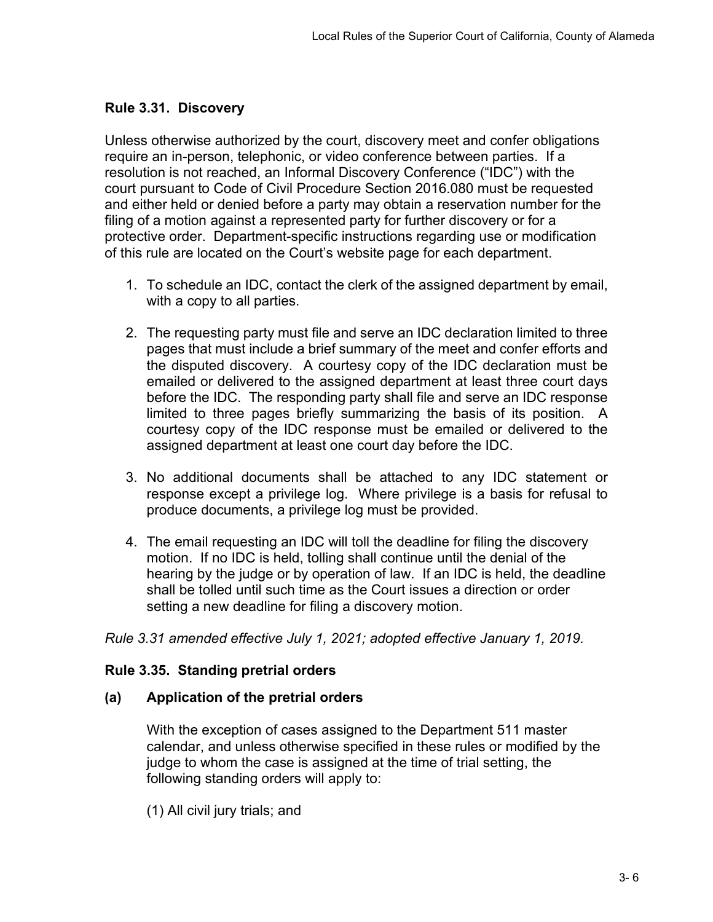# **Rule 3.31. Discovery**

Unless otherwise authorized by the court, discovery meet and confer obligations require an in-person, telephonic, or video conference between parties. If a resolution is not reached, an Informal Discovery Conference ("IDC") with the court pursuant to Code of Civil Procedure Section 2016.080 must be requested and either held or denied before a party may obtain a reservation number for the filing of a motion against a represented party for further discovery or for a protective order. Department-specific instructions regarding use or modification of this rule are located on the Court's website page for each department.

- 1. To schedule an IDC, contact the clerk of the assigned department by email, with a copy to all parties.
- 2. The requesting party must file and serve an IDC declaration limited to three pages that must include a brief summary of the meet and confer efforts and the disputed discovery. A courtesy copy of the IDC declaration must be emailed or delivered to the assigned department at least three court days before the IDC. The responding party shall file and serve an IDC response limited to three pages briefly summarizing the basis of its position. A courtesy copy of the IDC response must be emailed or delivered to the assigned department at least one court day before the IDC.
- 3. No additional documents shall be attached to any IDC statement or response except a privilege log. Where privilege is a basis for refusal to produce documents, a privilege log must be provided.
- 4. The email requesting an IDC will toll the deadline for filing the discovery motion. If no IDC is held, tolling shall continue until the denial of the hearing by the judge or by operation of law. If an IDC is held, the deadline shall be tolled until such time as the Court issues a direction or order setting a new deadline for filing a discovery motion.

*Rule 3.31 amended effective July 1, 2021; adopted effective January 1, 2019.*

#### **Rule 3.35. Standing pretrial orders**

#### **(a) Application of the pretrial orders**

With the exception of cases assigned to the Department 511 master calendar, and unless otherwise specified in these rules or modified by the judge to whom the case is assigned at the time of trial setting, the following standing orders will apply to:

(1) All civil jury trials; and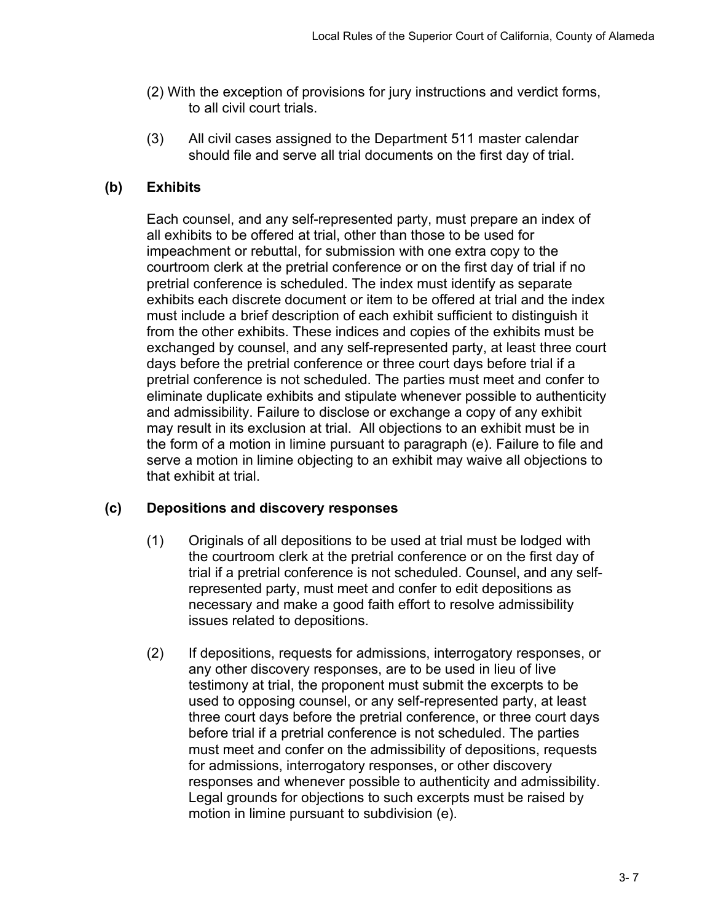- (2) With the exception of provisions for jury instructions and verdict forms, to all civil court trials.
- (3) All civil cases assigned to the Department 511 master calendar should file and serve all trial documents on the first day of trial.

# **(b) Exhibits**

Each counsel, and any self-represented party, must prepare an index of all exhibits to be offered at trial, other than those to be used for impeachment or rebuttal, for submission with one extra copy to the courtroom clerk at the pretrial conference or on the first day of trial if no pretrial conference is scheduled. The index must identify as separate exhibits each discrete document or item to be offered at trial and the index must include a brief description of each exhibit sufficient to distinguish it from the other exhibits. These indices and copies of the exhibits must be exchanged by counsel, and any self-represented party, at least three court days before the pretrial conference or three court days before trial if a pretrial conference is not scheduled. The parties must meet and confer to eliminate duplicate exhibits and stipulate whenever possible to authenticity and admissibility. Failure to disclose or exchange a copy of any exhibit may result in its exclusion at trial. All objections to an exhibit must be in the form of a motion in limine pursuant to paragraph (e). Failure to file and serve a motion in limine objecting to an exhibit may waive all objections to that exhibit at trial.

# **(c) Depositions and discovery responses**

- (1) Originals of all depositions to be used at trial must be lodged with the courtroom clerk at the pretrial conference or on the first day of trial if a pretrial conference is not scheduled. Counsel, and any selfrepresented party, must meet and confer to edit depositions as necessary and make a good faith effort to resolve admissibility issues related to depositions.
- (2) If depositions, requests for admissions, interrogatory responses, or any other discovery responses, are to be used in lieu of live testimony at trial, the proponent must submit the excerpts to be used to opposing counsel, or any self-represented party, at least three court days before the pretrial conference, or three court days before trial if a pretrial conference is not scheduled. The parties must meet and confer on the admissibility of depositions, requests for admissions, interrogatory responses, or other discovery responses and whenever possible to authenticity and admissibility. Legal grounds for objections to such excerpts must be raised by motion in limine pursuant to subdivision (e).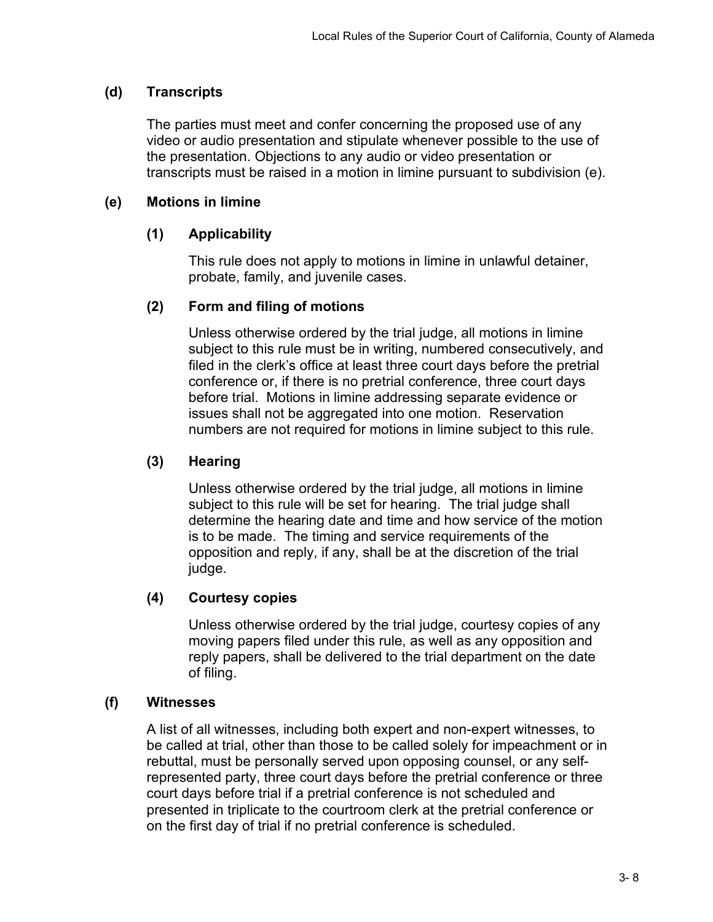# **(d) Transcripts**

The parties must meet and confer concerning the proposed use of any video or audio presentation and stipulate whenever possible to the use of the presentation. Objections to any audio or video presentation or transcripts must be raised in a motion in limine pursuant to subdivision (e).

# **(e) Motions in limine**

## **(1) Applicability**

This rule does not apply to motions in limine in unlawful detainer, probate, family, and juvenile cases.

## **(2) Form and filing of motions**

Unless otherwise ordered by the trial judge, all motions in limine subject to this rule must be in writing, numbered consecutively, and filed in the clerk's office at least three court days before the pretrial conference or, if there is no pretrial conference, three court days before trial. Motions in limine addressing separate evidence or issues shall not be aggregated into one motion. Reservation numbers are not required for motions in limine subject to this rule.

# **(3) Hearing**

Unless otherwise ordered by the trial judge, all motions in limine subject to this rule will be set for hearing. The trial judge shall determine the hearing date and time and how service of the motion is to be made. The timing and service requirements of the opposition and reply, if any, shall be at the discretion of the trial judge.

# **(4) Courtesy copies**

Unless otherwise ordered by the trial judge, courtesy copies of any moving papers filed under this rule, as well as any opposition and reply papers, shall be delivered to the trial department on the date of filing.

#### **(f) Witnesses**

A list of all witnesses, including both expert and non-expert witnesses, to be called at trial, other than those to be called solely for impeachment or in rebuttal, must be personally served upon opposing counsel, or any selfrepresented party, three court days before the pretrial conference or three court days before trial if a pretrial conference is not scheduled and presented in triplicate to the courtroom clerk at the pretrial conference or on the first day of trial if no pretrial conference is scheduled.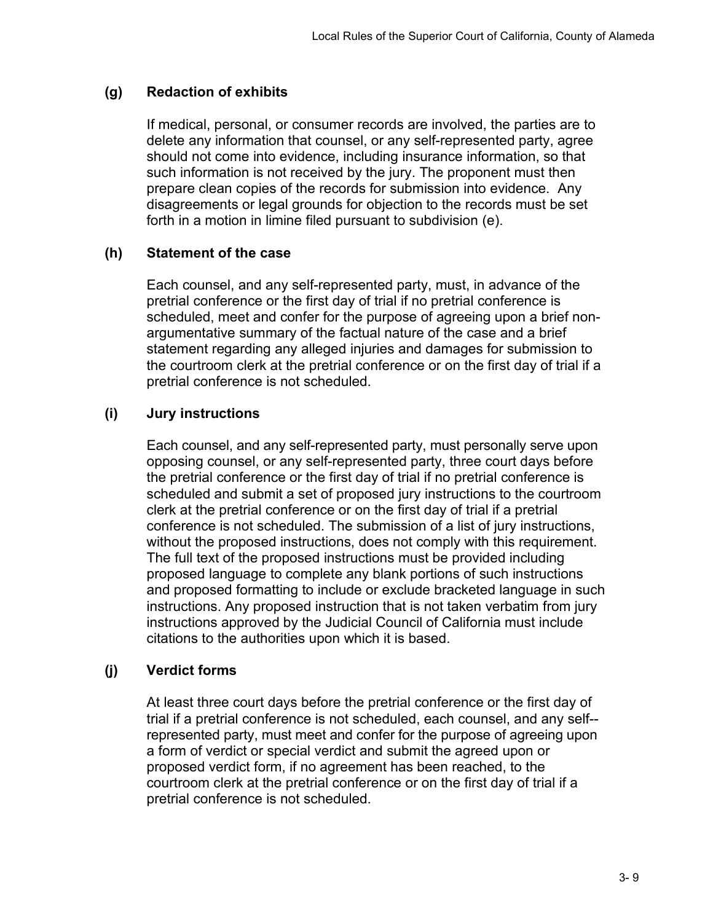## **(g) Redaction of exhibits**

If medical, personal, or consumer records are involved, the parties are to delete any information that counsel, or any self-represented party, agree should not come into evidence, including insurance information, so that such information is not received by the jury. The proponent must then prepare clean copies of the records for submission into evidence. Any disagreements or legal grounds for objection to the records must be set forth in a motion in limine filed pursuant to subdivision (e).

## **(h) Statement of the case**

Each counsel, and any self-represented party, must, in advance of the pretrial conference or the first day of trial if no pretrial conference is scheduled, meet and confer for the purpose of agreeing upon a brief nonargumentative summary of the factual nature of the case and a brief statement regarding any alleged injuries and damages for submission to the courtroom clerk at the pretrial conference or on the first day of trial if a pretrial conference is not scheduled.

# **(i) Jury instructions**

Each counsel, and any self-represented party, must personally serve upon opposing counsel, or any self-represented party, three court days before the pretrial conference or the first day of trial if no pretrial conference is scheduled and submit a set of proposed jury instructions to the courtroom clerk at the pretrial conference or on the first day of trial if a pretrial conference is not scheduled. The submission of a list of jury instructions, without the proposed instructions, does not comply with this requirement. The full text of the proposed instructions must be provided including proposed language to complete any blank portions of such instructions and proposed formatting to include or exclude bracketed language in such instructions. Any proposed instruction that is not taken verbatim from jury instructions approved by the Judicial Council of California must include citations to the authorities upon which it is based.

#### **(j) Verdict forms**

At least three court days before the pretrial conference or the first day of trial if a pretrial conference is not scheduled, each counsel, and any self- represented party, must meet and confer for the purpose of agreeing upon a form of verdict or special verdict and submit the agreed upon or proposed verdict form, if no agreement has been reached, to the courtroom clerk at the pretrial conference or on the first day of trial if a pretrial conference is not scheduled.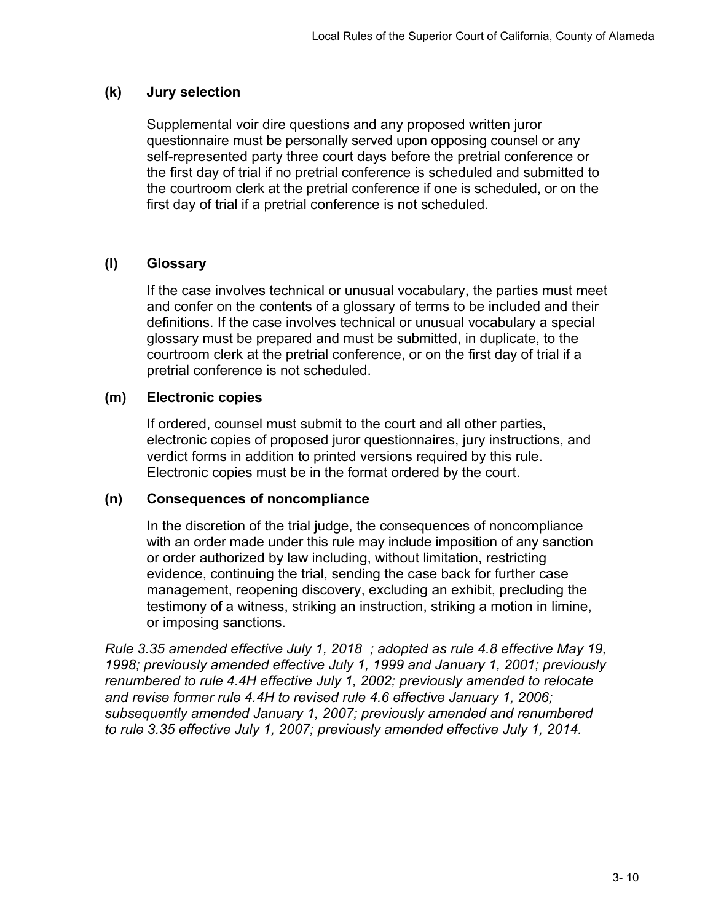## **(k) Jury selection**

Supplemental voir dire questions and any proposed written juror questionnaire must be personally served upon opposing counsel or any self-represented party three court days before the pretrial conference or the first day of trial if no pretrial conference is scheduled and submitted to the courtroom clerk at the pretrial conference if one is scheduled, or on the first day of trial if a pretrial conference is not scheduled.

# **(l) Glossary**

If the case involves technical or unusual vocabulary, the parties must meet and confer on the contents of a glossary of terms to be included and their definitions. If the case involves technical or unusual vocabulary a special glossary must be prepared and must be submitted, in duplicate, to the courtroom clerk at the pretrial conference, or on the first day of trial if a pretrial conference is not scheduled.

## **(m) Electronic copies**

If ordered, counsel must submit to the court and all other parties, electronic copies of proposed juror questionnaires, jury instructions, and verdict forms in addition to printed versions required by this rule. Electronic copies must be in the format ordered by the court.

#### **(n) Consequences of noncompliance**

In the discretion of the trial judge, the consequences of noncompliance with an order made under this rule may include imposition of any sanction or order authorized by law including, without limitation, restricting evidence, continuing the trial, sending the case back for further case management, reopening discovery, excluding an exhibit, precluding the testimony of a witness, striking an instruction, striking a motion in limine, or imposing sanctions.

*Rule 3.35 amended effective July 1, 2018 ; adopted as rule 4.8 effective May 19, 1998; previously amended effective July 1, 1999 and January 1, 2001; previously renumbered to rule 4.4H effective July 1, 2002; previously amended to relocate and revise former rule 4.4H to revised rule 4.6 effective January 1, 2006; subsequently amended January 1, 2007; previously amended and renumbered to rule 3.35 effective July 1, 2007; previously amended effective July 1, 2014.*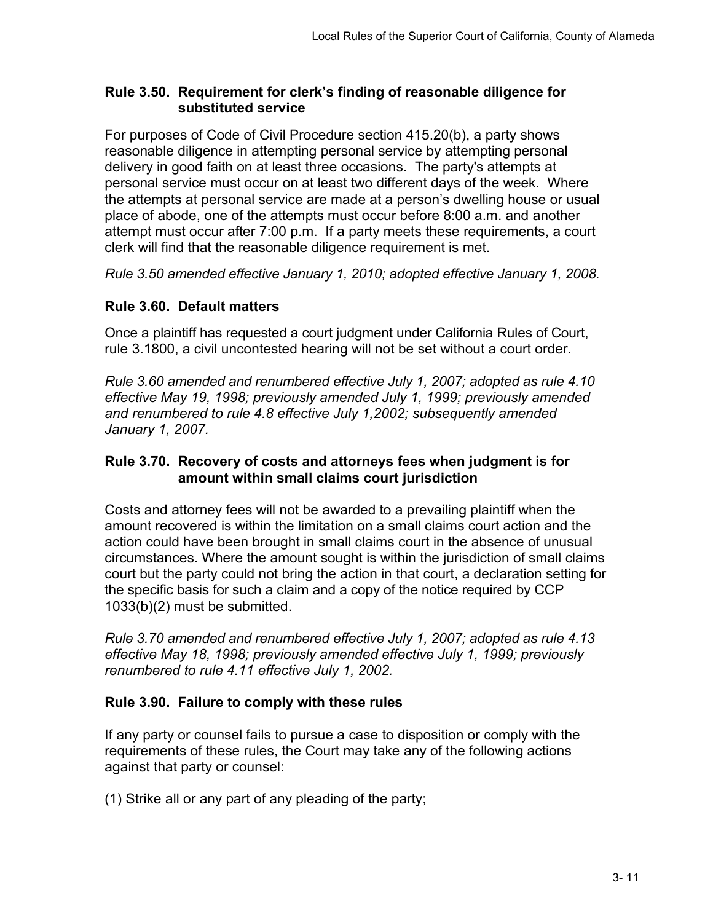## **Rule 3.50. Requirement for clerk's finding of reasonable diligence for substituted service**

For purposes of Code of Civil Procedure section 415.20(b), a party shows reasonable diligence in attempting personal service by attempting personal delivery in good faith on at least three occasions. The party's attempts at personal service must occur on at least two different days of the week. Where the attempts at personal service are made at a person's dwelling house or usual place of abode, one of the attempts must occur before 8:00 a.m. and another attempt must occur after 7:00 p.m. If a party meets these requirements, a court clerk will find that the reasonable diligence requirement is met.

*Rule 3.50 amended effective January 1, 2010; adopted effective January 1, 2008.*

# **Rule 3.60. Default matters**

Once a plaintiff has requested a court judgment under California Rules of Court, rule 3.1800, a civil uncontested hearing will not be set without a court order.

*Rule 3.60 amended and renumbered effective July 1, 2007; adopted as rule 4.10 effective May 19, 1998; previously amended July 1, 1999; previously amended and renumbered to rule 4.8 effective July 1,2002; subsequently amended January 1, 2007.*

# **Rule 3.70. Recovery of costs and attorneys fees when judgment is for amount within small claims court jurisdiction**

Costs and attorney fees will not be awarded to a prevailing plaintiff when the amount recovered is within the limitation on a small claims court action and the action could have been brought in small claims court in the absence of unusual circumstances. Where the amount sought is within the jurisdiction of small claims court but the party could not bring the action in that court, a declaration setting for the specific basis for such a claim and a copy of the notice required by CCP 1033(b)(2) must be submitted.

*Rule 3.70 amended and renumbered effective July 1, 2007; adopted as rule 4.13 effective May 18, 1998; previously amended effective July 1, 1999; previously renumbered to rule 4.11 effective July 1, 2002.*

# **Rule 3.90. Failure to comply with these rules**

If any party or counsel fails to pursue a case to disposition or comply with the requirements of these rules, the Court may take any of the following actions against that party or counsel:

(1) Strike all or any part of any pleading of the party;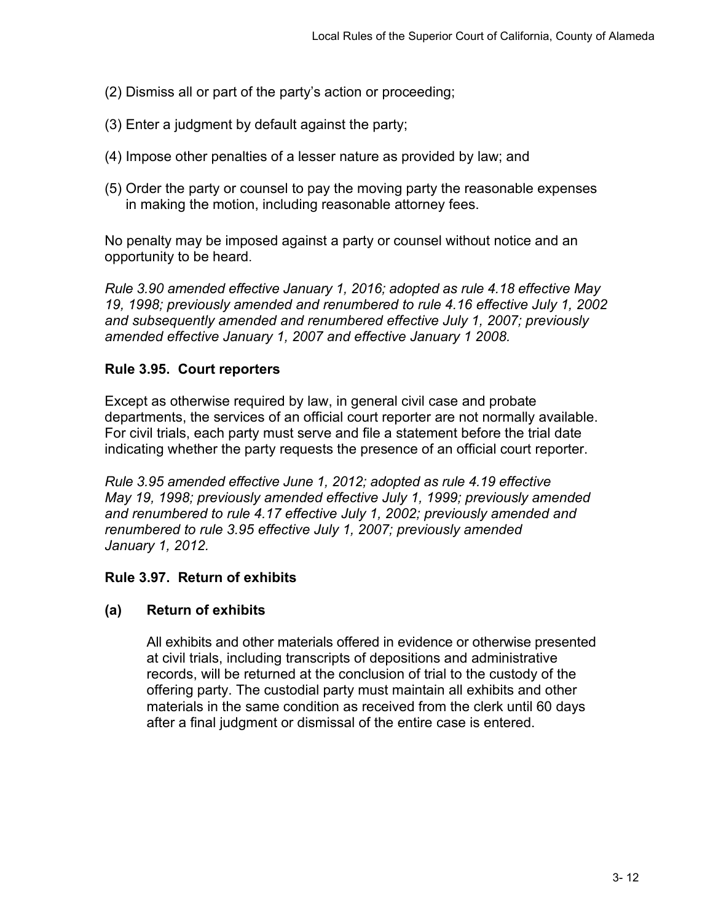- (2) Dismiss all or part of the party's action or proceeding;
- (3) Enter a judgment by default against the party;
- (4) Impose other penalties of a lesser nature as provided by law; and
- (5) Order the party or counsel to pay the moving party the reasonable expenses in making the motion, including reasonable attorney fees.

No penalty may be imposed against a party or counsel without notice and an opportunity to be heard.

*Rule 3.90 amended effective January 1, 2016; adopted as rule 4.18 effective May 19, 1998; previously amended and renumbered to rule 4.16 effective July 1, 2002 and subsequently amended and renumbered effective July 1, 2007; previously amended effective January 1, 2007 and effective January 1 2008.*

## **Rule 3.95. Court reporters**

Except as otherwise required by law, in general civil case and probate departments, the services of an official court reporter are not normally available. For civil trials, each party must serve and file a statement before the trial date indicating whether the party requests the presence of an official court reporter.

*Rule 3.95 amended effective June 1, 2012; adopted as rule 4.19 effective May 19, 1998; previously amended effective July 1, 1999; previously amended and renumbered to rule 4.17 effective July 1, 2002; previously amended and renumbered to rule 3.95 effective July 1, 2007; previously amended January 1, 2012.*

# **Rule 3.97. Return of exhibits**

# **(a) Return of exhibits**

All exhibits and other materials offered in evidence or otherwise presented at civil trials, including transcripts of depositions and administrative records, will be returned at the conclusion of trial to the custody of the offering party. The custodial party must maintain all exhibits and other materials in the same condition as received from the clerk until 60 days after a final judgment or dismissal of the entire case is entered.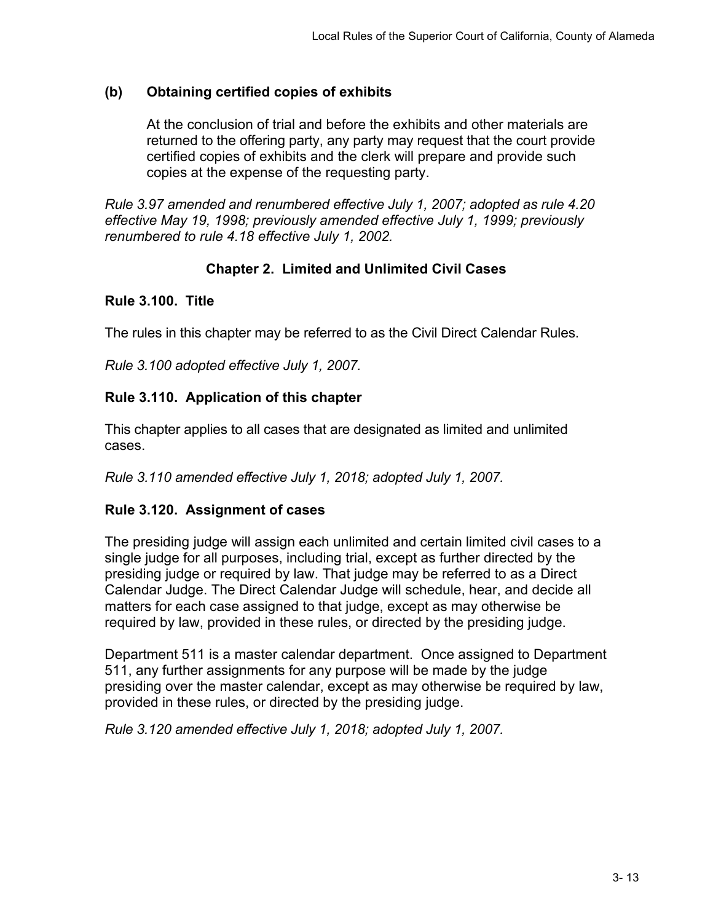# **(b) Obtaining certified copies of exhibits**

At the conclusion of trial and before the exhibits and other materials are returned to the offering party, any party may request that the court provide certified copies of exhibits and the clerk will prepare and provide such copies at the expense of the requesting party.

*Rule 3.97 amended and renumbered effective July 1, 2007; adopted as rule 4.20 effective May 19, 1998; previously amended effective July 1, 1999; previously renumbered to rule 4.18 effective July 1, 2002.*

# **Chapter 2. Limited and Unlimited Civil Cases**

## **Rule 3.100. Title**

The rules in this chapter may be referred to as the Civil Direct Calendar Rules.

*Rule 3.100 adopted effective July 1, 2007.*

# **Rule 3.110. Application of this chapter**

This chapter applies to all cases that are designated as limited and unlimited cases.

*Rule 3.110 amended effective July 1, 2018; adopted July 1, 2007.*

# **Rule 3.120. Assignment of cases**

The presiding judge will assign each unlimited and certain limited civil cases to a single judge for all purposes, including trial, except as further directed by the presiding judge or required by law. That judge may be referred to as a Direct Calendar Judge. The Direct Calendar Judge will schedule, hear, and decide all matters for each case assigned to that judge, except as may otherwise be required by law, provided in these rules, or directed by the presiding judge.

Department 511 is a master calendar department. Once assigned to Department 511, any further assignments for any purpose will be made by the judge presiding over the master calendar, except as may otherwise be required by law, provided in these rules, or directed by the presiding judge.

*Rule 3.120 amended effective July 1, 2018; adopted July 1, 2007.*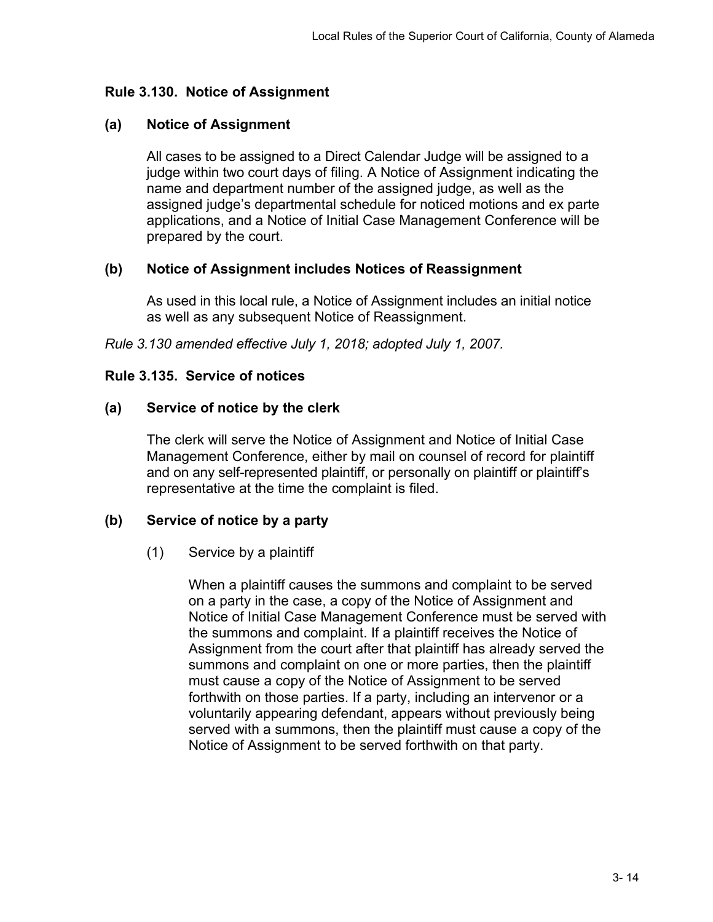## **Rule 3.130. Notice of Assignment**

## **(a) Notice of Assignment**

All cases to be assigned to a Direct Calendar Judge will be assigned to a judge within two court days of filing. A Notice of Assignment indicating the name and department number of the assigned judge, as well as the assigned judge's departmental schedule for noticed motions and ex parte applications, and a Notice of Initial Case Management Conference will be prepared by the court.

## **(b) Notice of Assignment includes Notices of Reassignment**

As used in this local rule, a Notice of Assignment includes an initial notice as well as any subsequent Notice of Reassignment.

*Rule 3.130 amended effective July 1, 2018; adopted July 1, 2007.*

#### **Rule 3.135. Service of notices**

## **(a) Service of notice by the clerk**

The clerk will serve the Notice of Assignment and Notice of Initial Case Management Conference, either by mail on counsel of record for plaintiff and on any self-represented plaintiff, or personally on plaintiff or plaintiff's representative at the time the complaint is filed.

#### **(b) Service of notice by a party**

#### (1) Service by a plaintiff

When a plaintiff causes the summons and complaint to be served on a party in the case, a copy of the Notice of Assignment and Notice of Initial Case Management Conference must be served with the summons and complaint. If a plaintiff receives the Notice of Assignment from the court after that plaintiff has already served the summons and complaint on one or more parties, then the plaintiff must cause a copy of the Notice of Assignment to be served forthwith on those parties. If a party, including an intervenor or a voluntarily appearing defendant, appears without previously being served with a summons, then the plaintiff must cause a copy of the Notice of Assignment to be served forthwith on that party.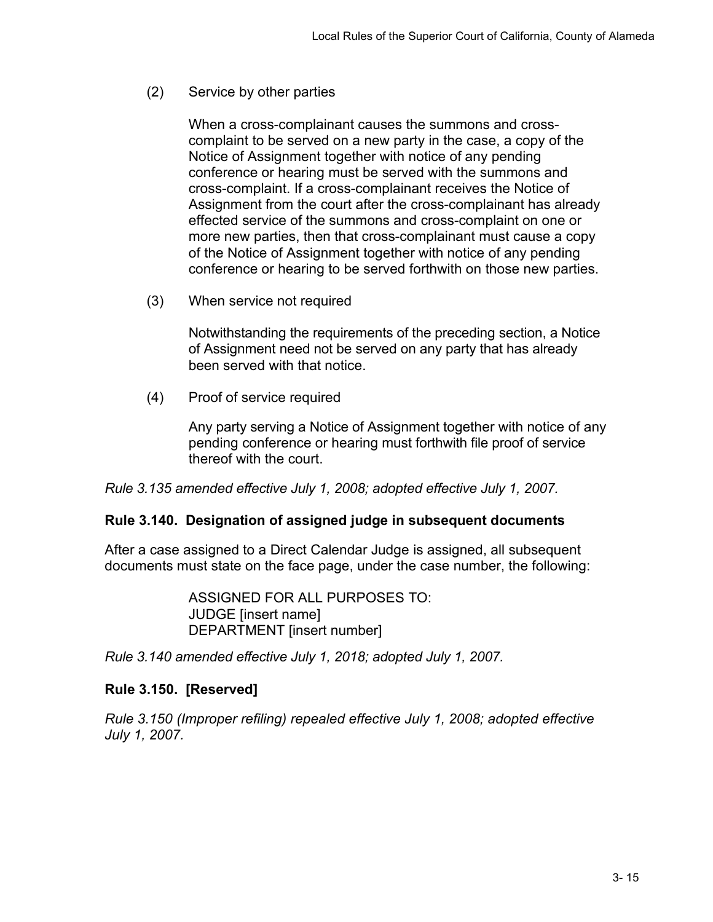(2) Service by other parties

When a cross-complainant causes the summons and crosscomplaint to be served on a new party in the case, a copy of the Notice of Assignment together with notice of any pending conference or hearing must be served with the summons and cross-complaint. If a cross-complainant receives the Notice of Assignment from the court after the cross-complainant has already effected service of the summons and cross-complaint on one or more new parties, then that cross-complainant must cause a copy of the Notice of Assignment together with notice of any pending conference or hearing to be served forthwith on those new parties.

(3) When service not required

Notwithstanding the requirements of the preceding section, a Notice of Assignment need not be served on any party that has already been served with that notice.

(4) Proof of service required

Any party serving a Notice of Assignment together with notice of any pending conference or hearing must forthwith file proof of service thereof with the court.

*Rule 3.135 amended effective July 1, 2008; adopted effective July 1, 2007.*

#### **Rule 3.140. Designation of assigned judge in subsequent documents**

After a case assigned to a Direct Calendar Judge is assigned, all subsequent documents must state on the face page, under the case number, the following:

> ASSIGNED FOR ALL PURPOSES TO: JUDGE [insert name] DEPARTMENT [insert number]

*Rule 3.140 amended effective July 1, 2018; adopted July 1, 2007.*

#### **Rule 3.150. [Reserved]**

*Rule 3.150 (Improper refiling) repealed effective July 1, 2008; adopted effective July 1, 2007.*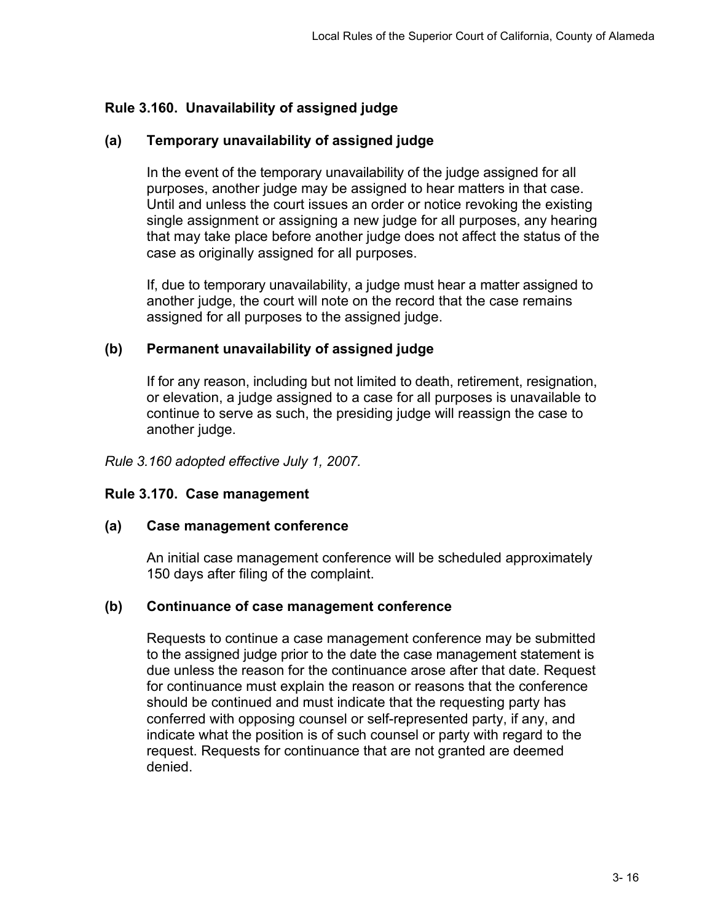# **Rule 3.160. Unavailability of assigned judge**

## **(a) Temporary unavailability of assigned judge**

In the event of the temporary unavailability of the judge assigned for all purposes, another judge may be assigned to hear matters in that case. Until and unless the court issues an order or notice revoking the existing single assignment or assigning a new judge for all purposes, any hearing that may take place before another judge does not affect the status of the case as originally assigned for all purposes.

If, due to temporary unavailability, a judge must hear a matter assigned to another judge, the court will note on the record that the case remains assigned for all purposes to the assigned judge.

#### **(b) Permanent unavailability of assigned judge**

If for any reason, including but not limited to death, retirement, resignation, or elevation, a judge assigned to a case for all purposes is unavailable to continue to serve as such, the presiding judge will reassign the case to another judge.

*Rule 3.160 adopted effective July 1, 2007.*

#### **Rule 3.170. Case management**

#### **(a) Case management conference**

An initial case management conference will be scheduled approximately 150 days after filing of the complaint.

#### **(b) Continuance of case management conference**

Requests to continue a case management conference may be submitted to the assigned judge prior to the date the case management statement is due unless the reason for the continuance arose after that date. Request for continuance must explain the reason or reasons that the conference should be continued and must indicate that the requesting party has conferred with opposing counsel or self-represented party, if any, and indicate what the position is of such counsel or party with regard to the request. Requests for continuance that are not granted are deemed denied.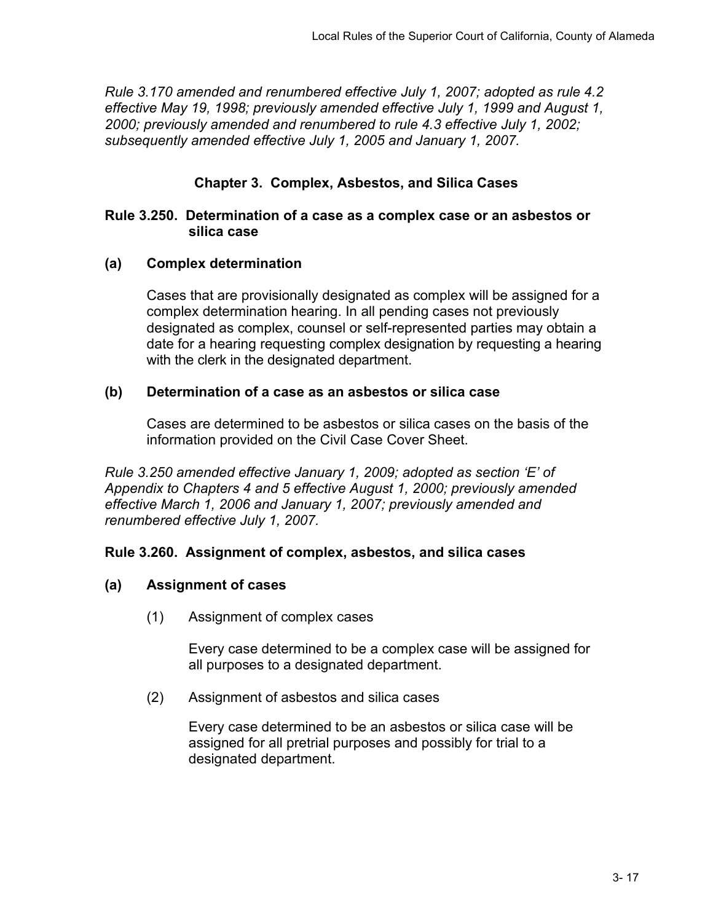*Rule 3.170 amended and renumbered effective July 1, 2007; adopted as rule 4.2 effective May 19, 1998; previously amended effective July 1, 1999 and August 1, 2000; previously amended and renumbered to rule 4.3 effective July 1, 2002; subsequently amended effective July 1, 2005 and January 1, 2007.*

## **Chapter 3. Complex, Asbestos, and Silica Cases**

#### **Rule 3.250. Determination of a case as a complex case or an asbestos or silica case**

#### **(a) Complex determination**

Cases that are provisionally designated as complex will be assigned for a complex determination hearing. In all pending cases not previously designated as complex, counsel or self-represented parties may obtain a date for a hearing requesting complex designation by requesting a hearing with the clerk in the designated department.

#### **(b) Determination of a case as an asbestos or silica case**

Cases are determined to be asbestos or silica cases on the basis of the information provided on the Civil Case Cover Sheet.

*Rule 3.250 amended effective January 1, 2009; adopted as section 'E' of Appendix to Chapters 4 and 5 effective August 1, 2000; previously amended effective March 1, 2006 and January 1, 2007; previously amended and renumbered effective July 1, 2007.*

#### **Rule 3.260. Assignment of complex, asbestos, and silica cases**

#### **(a) Assignment of cases**

(1) Assignment of complex cases

Every case determined to be a complex case will be assigned for all purposes to a designated department.

(2) Assignment of asbestos and silica cases

Every case determined to be an asbestos or silica case will be assigned for all pretrial purposes and possibly for trial to a designated department.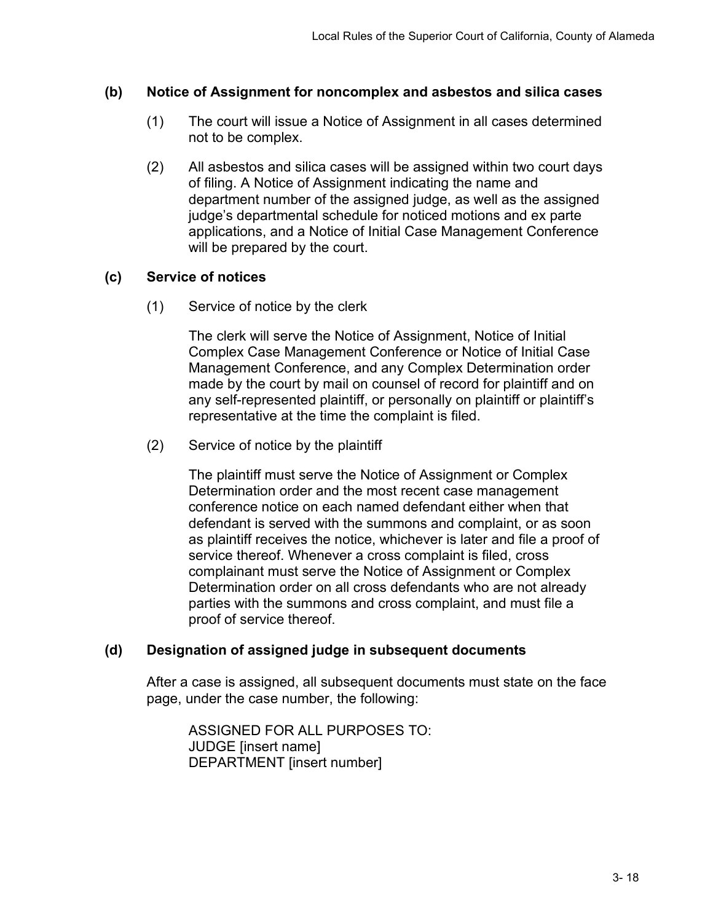### **(b) Notice of Assignment for noncomplex and asbestos and silica cases**

- (1) The court will issue a Notice of Assignment in all cases determined not to be complex.
- (2) All asbestos and silica cases will be assigned within two court days of filing. A Notice of Assignment indicating the name and department number of the assigned judge, as well as the assigned judge's departmental schedule for noticed motions and ex parte applications, and a Notice of Initial Case Management Conference will be prepared by the court.

## **(c) Service of notices**

(1) Service of notice by the clerk

The clerk will serve the Notice of Assignment, Notice of Initial Complex Case Management Conference or Notice of Initial Case Management Conference, and any Complex Determination order made by the court by mail on counsel of record for plaintiff and on any self-represented plaintiff, or personally on plaintiff or plaintiff's representative at the time the complaint is filed.

(2) Service of notice by the plaintiff

The plaintiff must serve the Notice of Assignment or Complex Determination order and the most recent case management conference notice on each named defendant either when that defendant is served with the summons and complaint, or as soon as plaintiff receives the notice, whichever is later and file a proof of service thereof. Whenever a cross complaint is filed, cross complainant must serve the Notice of Assignment or Complex Determination order on all cross defendants who are not already parties with the summons and cross complaint, and must file a proof of service thereof.

# **(d) Designation of assigned judge in subsequent documents**

After a case is assigned, all subsequent documents must state on the face page, under the case number, the following:

ASSIGNED FOR ALL PURPOSES TO: JUDGE [insert name] DEPARTMENT [insert number]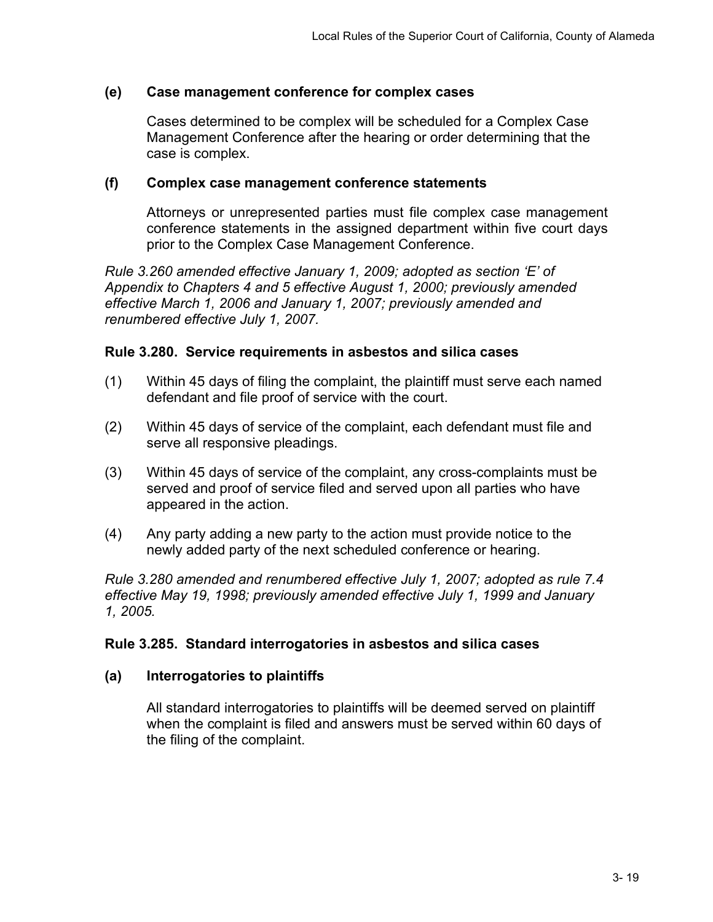### **(e) Case management conference for complex cases**

Cases determined to be complex will be scheduled for a Complex Case Management Conference after the hearing or order determining that the case is complex.

#### **(f) Complex case management conference statements**

Attorneys or unrepresented parties must file complex case management conference statements in the assigned department within five court days prior to the Complex Case Management Conference.

*Rule 3.260 amended effective January 1, 2009; adopted as section 'E' of Appendix to Chapters 4 and 5 effective August 1, 2000; previously amended effective March 1, 2006 and January 1, 2007; previously amended and renumbered effective July 1, 2007.*

## **Rule 3.280. Service requirements in asbestos and silica cases**

- (1) Within 45 days of filing the complaint, the plaintiff must serve each named defendant and file proof of service with the court.
- (2) Within 45 days of service of the complaint, each defendant must file and serve all responsive pleadings.
- (3) Within 45 days of service of the complaint, any cross-complaints must be served and proof of service filed and served upon all parties who have appeared in the action.
- (4) Any party adding a new party to the action must provide notice to the newly added party of the next scheduled conference or hearing.

*Rule 3.280 amended and renumbered effective July 1, 2007; adopted as rule 7.4 effective May 19, 1998; previously amended effective July 1, 1999 and January 1, 2005.*

# **Rule 3.285. Standard interrogatories in asbestos and silica cases**

# **(a) Interrogatories to plaintiffs**

All standard interrogatories to plaintiffs will be deemed served on plaintiff when the complaint is filed and answers must be served within 60 days of the filing of the complaint.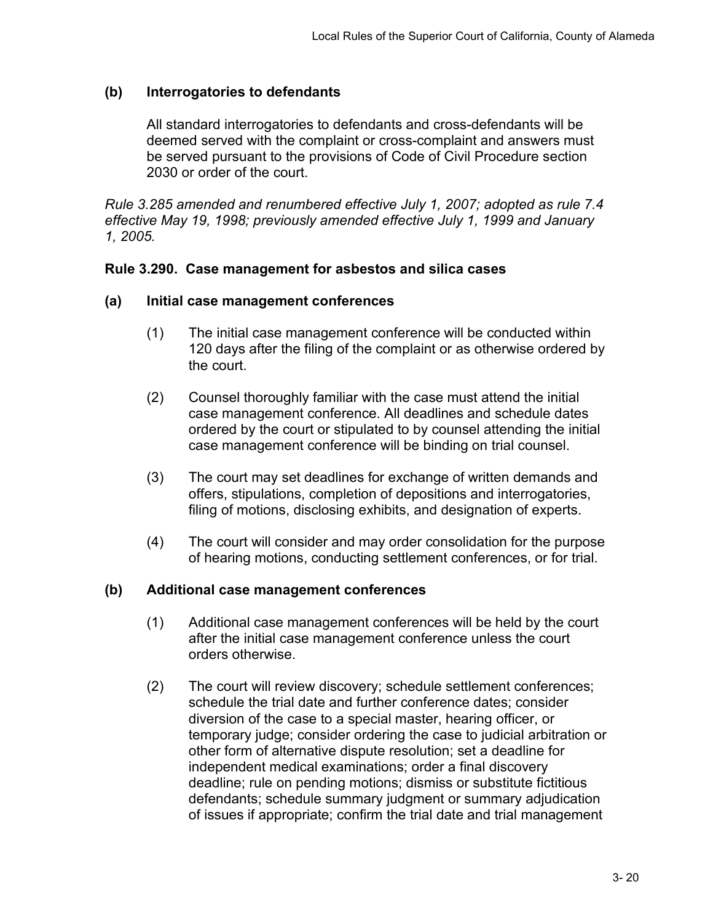## **(b) Interrogatories to defendants**

All standard interrogatories to defendants and cross-defendants will be deemed served with the complaint or cross-complaint and answers must be served pursuant to the provisions of Code of Civil Procedure section 2030 or order of the court.

*Rule 3.285 amended and renumbered effective July 1, 2007; adopted as rule 7.4 effective May 19, 1998; previously amended effective July 1, 1999 and January 1, 2005.*

#### **Rule 3.290. Case management for asbestos and silica cases**

#### **(a) Initial case management conferences**

- (1) The initial case management conference will be conducted within 120 days after the filing of the complaint or as otherwise ordered by the court.
- (2) Counsel thoroughly familiar with the case must attend the initial case management conference. All deadlines and schedule dates ordered by the court or stipulated to by counsel attending the initial case management conference will be binding on trial counsel.
- (3) The court may set deadlines for exchange of written demands and offers, stipulations, completion of depositions and interrogatories, filing of motions, disclosing exhibits, and designation of experts.
- (4) The court will consider and may order consolidation for the purpose of hearing motions, conducting settlement conferences, or for trial.

#### **(b) Additional case management conferences**

- (1) Additional case management conferences will be held by the court after the initial case management conference unless the court orders otherwise.
- (2) The court will review discovery; schedule settlement conferences; schedule the trial date and further conference dates; consider diversion of the case to a special master, hearing officer, or temporary judge; consider ordering the case to judicial arbitration or other form of alternative dispute resolution; set a deadline for independent medical examinations; order a final discovery deadline; rule on pending motions; dismiss or substitute fictitious defendants; schedule summary judgment or summary adjudication of issues if appropriate; confirm the trial date and trial management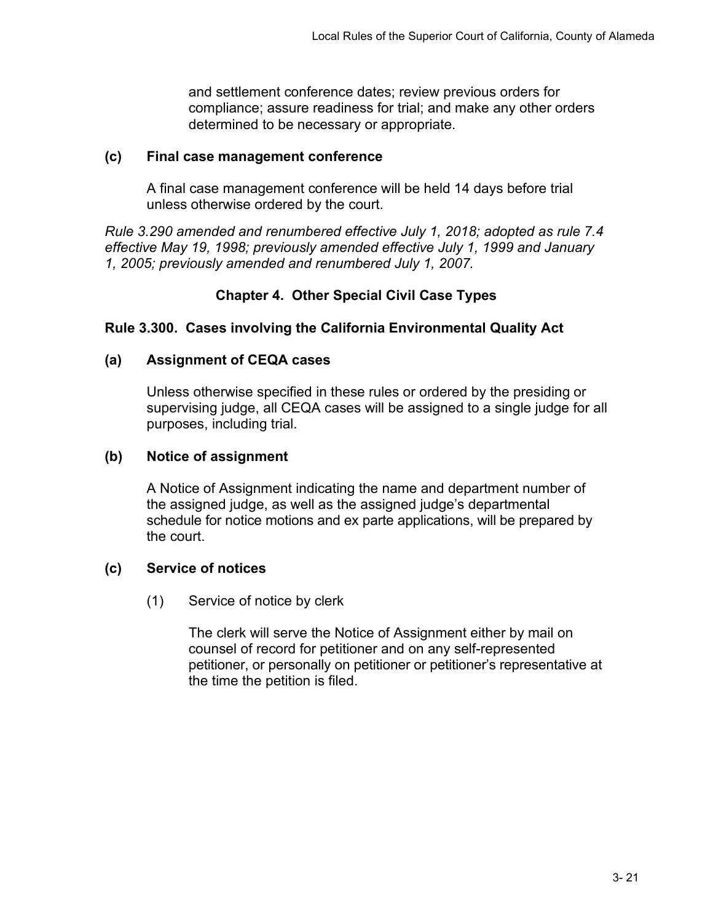and settlement conference dates; review previous orders for compliance; assure readiness for trial; and make any other orders determined to be necessary or appropriate.

### **(c) Final case management conference**

A final case management conference will be held 14 days before trial unless otherwise ordered by the court.

*Rule 3.290 amended and renumbered effective July 1, 2018; adopted as rule 7.4 effective May 19, 1998; previously amended effective July 1, 1999 and January 1, 2005; previously amended and renumbered July 1, 2007.*

# **Chapter 4. Other Special Civil Case Types**

# **Rule 3.300. Cases involving the California Environmental Quality Act**

# **(a) Assignment of CEQA cases**

Unless otherwise specified in these rules or ordered by the presiding or supervising judge, all CEQA cases will be assigned to a single judge for all purposes, including trial.

## **(b) Notice of assignment**

A Notice of Assignment indicating the name and department number of the assigned judge, as well as the assigned judge's departmental schedule for notice motions and ex parte applications, will be prepared by the court.

# **(c) Service of notices**

(1) Service of notice by clerk

The clerk will serve the Notice of Assignment either by mail on counsel of record for petitioner and on any self-represented petitioner, or personally on petitioner or petitioner's representative at the time the petition is filed.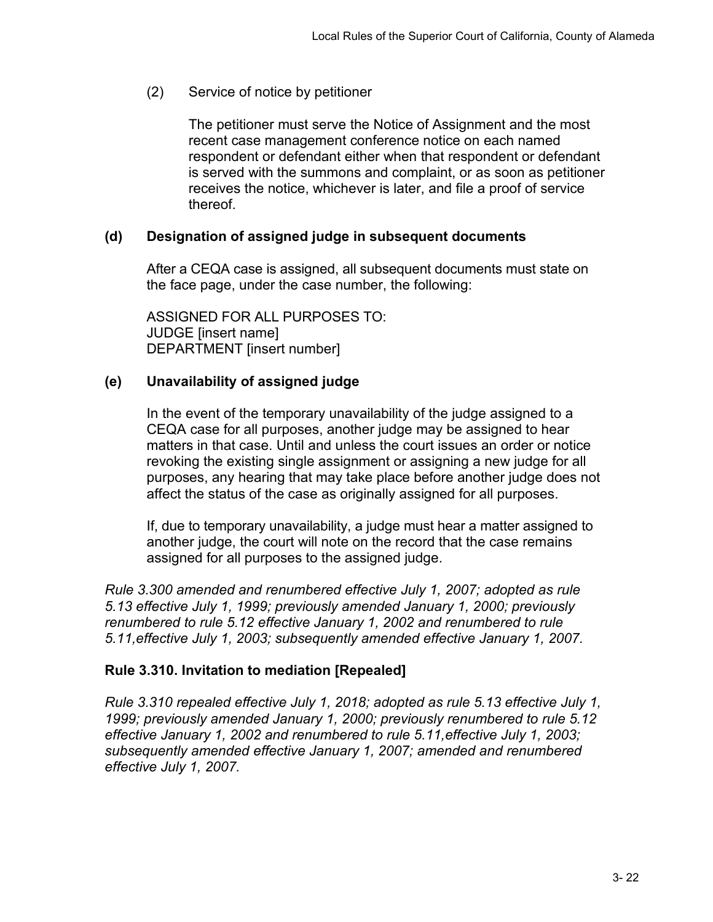(2) Service of notice by petitioner

The petitioner must serve the Notice of Assignment and the most recent case management conference notice on each named respondent or defendant either when that respondent or defendant is served with the summons and complaint, or as soon as petitioner receives the notice, whichever is later, and file a proof of service thereof.

## **(d) Designation of assigned judge in subsequent documents**

After a CEQA case is assigned, all subsequent documents must state on the face page, under the case number, the following:

ASSIGNED FOR ALL PURPOSES TO: JUDGE [insert name] DEPARTMENT [insert number]

## **(e) Unavailability of assigned judge**

In the event of the temporary unavailability of the judge assigned to a CEQA case for all purposes, another judge may be assigned to hear matters in that case. Until and unless the court issues an order or notice revoking the existing single assignment or assigning a new judge for all purposes, any hearing that may take place before another judge does not affect the status of the case as originally assigned for all purposes.

If, due to temporary unavailability, a judge must hear a matter assigned to another judge, the court will note on the record that the case remains assigned for all purposes to the assigned judge.

*Rule 3.300 amended and renumbered effective July 1, 2007; adopted as rule 5.13 effective July 1, 1999; previously amended January 1, 2000; previously renumbered to rule 5.12 effective January 1, 2002 and renumbered to rule 5.11,effective July 1, 2003; subsequently amended effective January 1, 2007.*

# **Rule 3.310. Invitation to mediation [Repealed]**

*Rule 3.310 repealed effective July 1, 2018; adopted as rule 5.13 effective July 1, 1999; previously amended January 1, 2000; previously renumbered to rule 5.12 effective January 1, 2002 and renumbered to rule 5.11,effective July 1, 2003; subsequently amended effective January 1, 2007; amended and renumbered effective July 1, 2007.*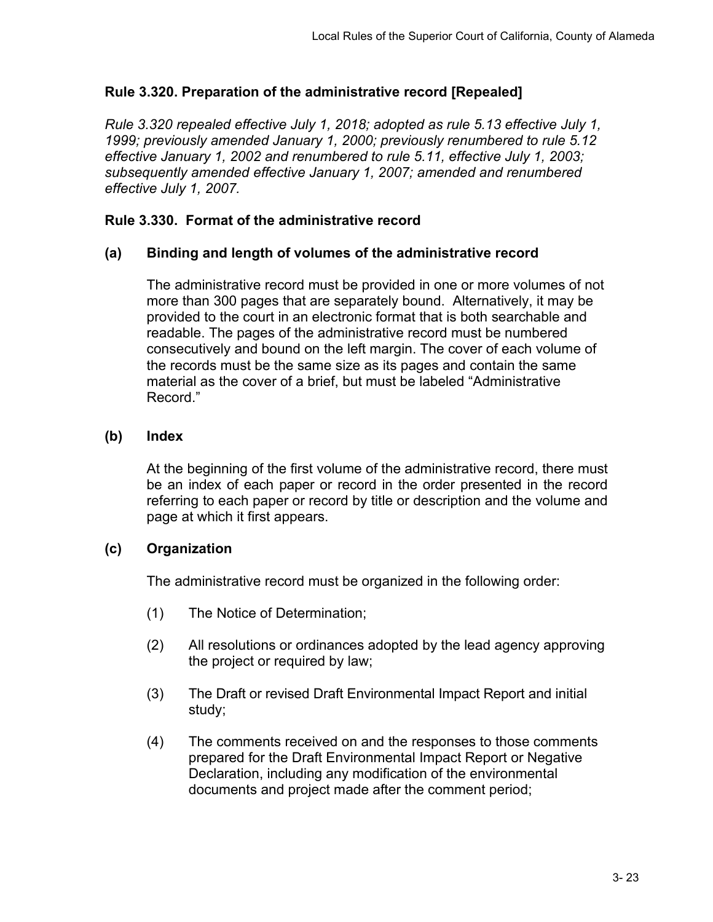# **Rule 3.320. Preparation of the administrative record [Repealed]**

*Rule 3.320 repealed effective July 1, 2018; adopted as rule 5.13 effective July 1, 1999; previously amended January 1, 2000; previously renumbered to rule 5.12 effective January 1, 2002 and renumbered to rule 5.11, effective July 1, 2003; subsequently amended effective January 1, 2007; amended and renumbered effective July 1, 2007.*

## **Rule 3.330. Format of the administrative record**

#### **(a) Binding and length of volumes of the administrative record**

The administrative record must be provided in one or more volumes of not more than 300 pages that are separately bound. Alternatively, it may be provided to the court in an electronic format that is both searchable and readable. The pages of the administrative record must be numbered consecutively and bound on the left margin. The cover of each volume of the records must be the same size as its pages and contain the same material as the cover of a brief, but must be labeled "Administrative Record."

## **(b) Index**

At the beginning of the first volume of the administrative record, there must be an index of each paper or record in the order presented in the record referring to each paper or record by title or description and the volume and page at which it first appears.

#### **(c) Organization**

The administrative record must be organized in the following order:

- (1) The Notice of Determination;
- (2) All resolutions or ordinances adopted by the lead agency approving the project or required by law;
- (3) The Draft or revised Draft Environmental Impact Report and initial study;
- (4) The comments received on and the responses to those comments prepared for the Draft Environmental Impact Report or Negative Declaration, including any modification of the environmental documents and project made after the comment period;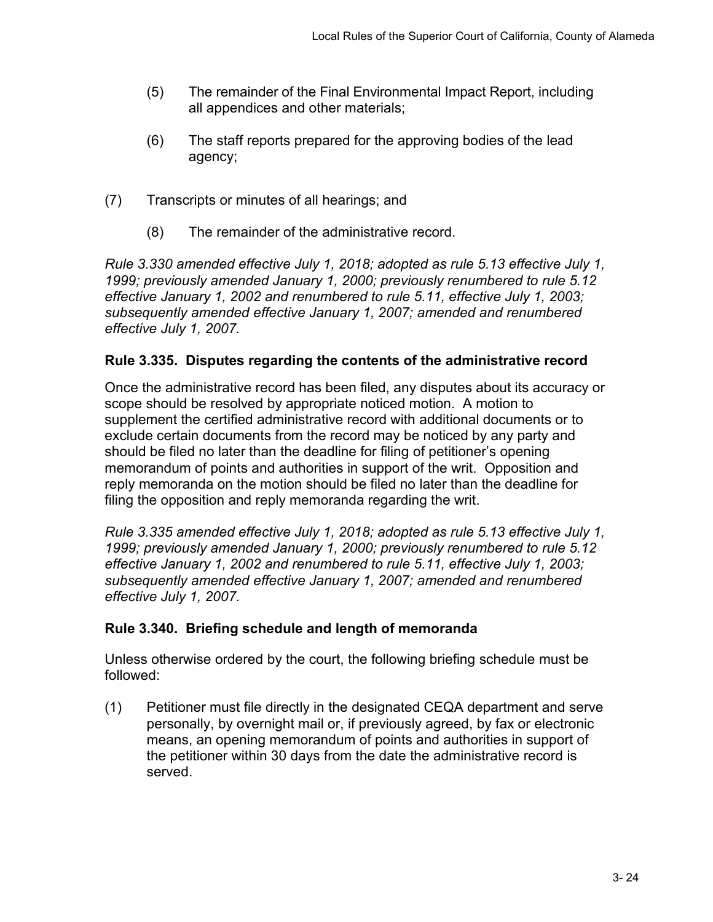- (5) The remainder of the Final Environmental Impact Report, including all appendices and other materials;
- (6) The staff reports prepared for the approving bodies of the lead agency;
- (7) Transcripts or minutes of all hearings; and
	- (8) The remainder of the administrative record.

*Rule 3.330 amended effective July 1, 2018; adopted as rule 5.13 effective July 1, 1999; previously amended January 1, 2000; previously renumbered to rule 5.12 effective January 1, 2002 and renumbered to rule 5.11, effective July 1, 2003; subsequently amended effective January 1, 2007; amended and renumbered effective July 1, 2007.*

## **Rule 3.335. Disputes regarding the contents of the administrative record**

Once the administrative record has been filed, any disputes about its accuracy or scope should be resolved by appropriate noticed motion. A motion to supplement the certified administrative record with additional documents or to exclude certain documents from the record may be noticed by any party and should be filed no later than the deadline for filing of petitioner's opening memorandum of points and authorities in support of the writ. Opposition and reply memoranda on the motion should be filed no later than the deadline for filing the opposition and reply memoranda regarding the writ.

*Rule 3.335 amended effective July 1, 2018; adopted as rule 5.13 effective July 1, 1999; previously amended January 1, 2000; previously renumbered to rule 5.12 effective January 1, 2002 and renumbered to rule 5.11, effective July 1, 2003; subsequently amended effective January 1, 2007; amended and renumbered effective July 1, 2007.*

# **Rule 3.340. Briefing schedule and length of memoranda**

Unless otherwise ordered by the court, the following briefing schedule must be followed:

(1) Petitioner must file directly in the designated CEQA department and serve personally, by overnight mail or, if previously agreed, by fax or electronic means, an opening memorandum of points and authorities in support of the petitioner within 30 days from the date the administrative record is served.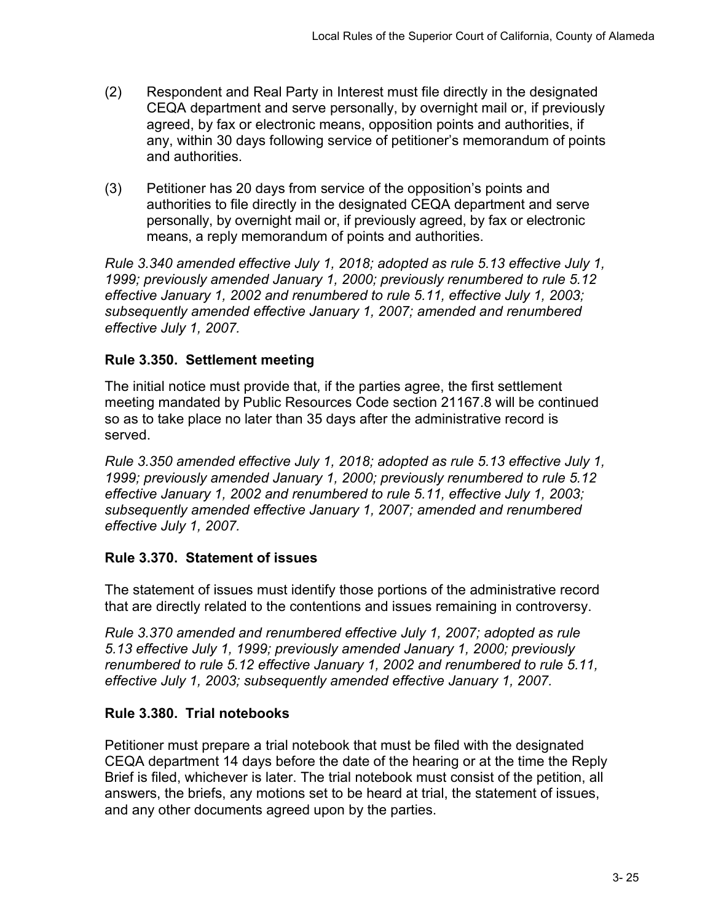- (2) Respondent and Real Party in Interest must file directly in the designated CEQA department and serve personally, by overnight mail or, if previously agreed, by fax or electronic means, opposition points and authorities, if any, within 30 days following service of petitioner's memorandum of points and authorities.
- (3) Petitioner has 20 days from service of the opposition's points and authorities to file directly in the designated CEQA department and serve personally, by overnight mail or, if previously agreed, by fax or electronic means, a reply memorandum of points and authorities.

*Rule 3.340 amended effective July 1, 2018; adopted as rule 5.13 effective July 1, 1999; previously amended January 1, 2000; previously renumbered to rule 5.12 effective January 1, 2002 and renumbered to rule 5.11, effective July 1, 2003; subsequently amended effective January 1, 2007; amended and renumbered effective July 1, 2007.*

# **Rule 3.350. Settlement meeting**

The initial notice must provide that, if the parties agree, the first settlement meeting mandated by Public Resources Code section 21167.8 will be continued so as to take place no later than 35 days after the administrative record is served.

*Rule 3.350 amended effective July 1, 2018; adopted as rule 5.13 effective July 1, 1999; previously amended January 1, 2000; previously renumbered to rule 5.12 effective January 1, 2002 and renumbered to rule 5.11, effective July 1, 2003; subsequently amended effective January 1, 2007; amended and renumbered effective July 1, 2007.*

# **Rule 3.370. Statement of issues**

The statement of issues must identify those portions of the administrative record that are directly related to the contentions and issues remaining in controversy.

*Rule 3.370 amended and renumbered effective July 1, 2007; adopted as rule 5.13 effective July 1, 1999; previously amended January 1, 2000; previously renumbered to rule 5.12 effective January 1, 2002 and renumbered to rule 5.11, effective July 1, 2003; subsequently amended effective January 1, 2007.*

# **Rule 3.380. Trial notebooks**

Petitioner must prepare a trial notebook that must be filed with the designated CEQA department 14 days before the date of the hearing or at the time the Reply Brief is filed, whichever is later. The trial notebook must consist of the petition, all answers, the briefs, any motions set to be heard at trial, the statement of issues, and any other documents agreed upon by the parties.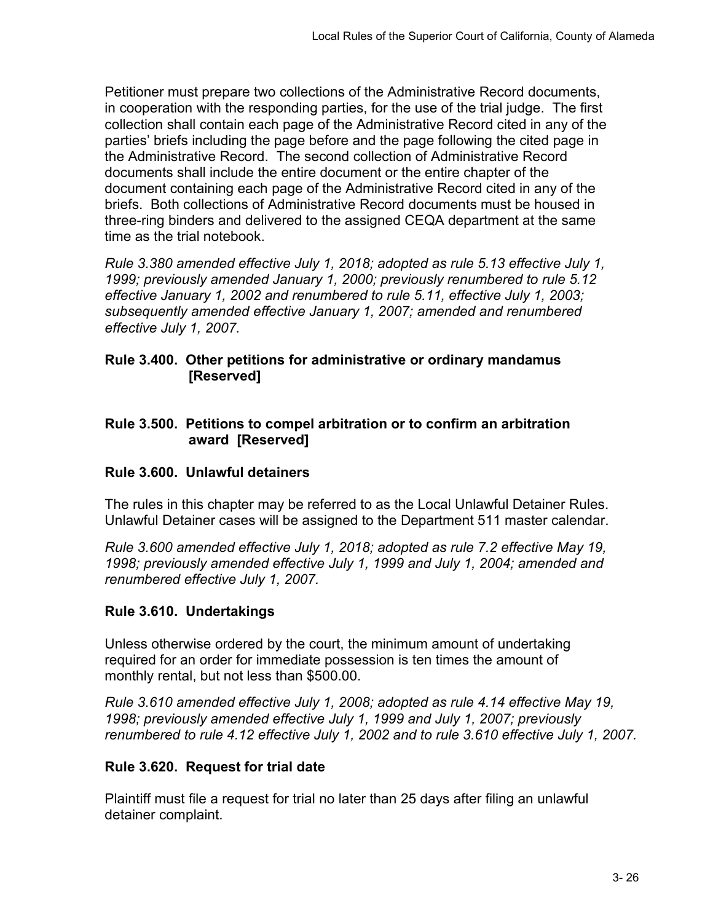Petitioner must prepare two collections of the Administrative Record documents, in cooperation with the responding parties, for the use of the trial judge. The first collection shall contain each page of the Administrative Record cited in any of the parties' briefs including the page before and the page following the cited page in the Administrative Record. The second collection of Administrative Record documents shall include the entire document or the entire chapter of the document containing each page of the Administrative Record cited in any of the briefs. Both collections of Administrative Record documents must be housed in three-ring binders and delivered to the assigned CEQA department at the same time as the trial notebook.

*Rule 3.380 amended effective July 1, 2018; adopted as rule 5.13 effective July 1, 1999; previously amended January 1, 2000; previously renumbered to rule 5.12 effective January 1, 2002 and renumbered to rule 5.11, effective July 1, 2003; subsequently amended effective January 1, 2007; amended and renumbered effective July 1, 2007.*

## **Rule 3.400. Other petitions for administrative or ordinary mandamus [Reserved]**

## **Rule 3.500. Petitions to compel arbitration or to confirm an arbitration award [Reserved]**

# **Rule 3.600. Unlawful detainers**

The rules in this chapter may be referred to as the Local Unlawful Detainer Rules. Unlawful Detainer cases will be assigned to the Department 511 master calendar.

*Rule 3.600 amended effective July 1, 2018; adopted as rule 7.2 effective May 19, 1998; previously amended effective July 1, 1999 and July 1, 2004; amended and renumbered effective July 1, 2007.*

# **Rule 3.610. Undertakings**

Unless otherwise ordered by the court, the minimum amount of undertaking required for an order for immediate possession is ten times the amount of monthly rental, but not less than \$500.00.

*Rule 3.610 amended effective July 1, 2008; adopted as rule 4.14 effective May 19, 1998; previously amended effective July 1, 1999 and July 1, 2007; previously renumbered to rule 4.12 effective July 1, 2002 and to rule 3.610 effective July 1, 2007.*

# **Rule 3.620. Request for trial date**

Plaintiff must file a request for trial no later than 25 days after filing an unlawful detainer complaint.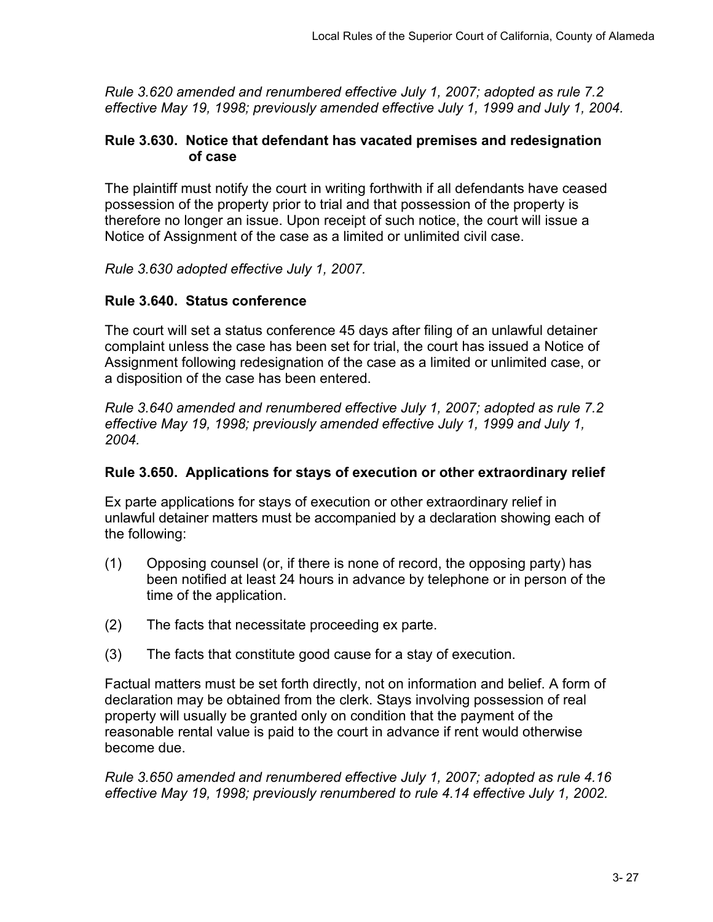*Rule 3.620 amended and renumbered effective July 1, 2007; adopted as rule 7.2 effective May 19, 1998; previously amended effective July 1, 1999 and July 1, 2004.*

#### **Rule 3.630. Notice that defendant has vacated premises and redesignation of case**

The plaintiff must notify the court in writing forthwith if all defendants have ceased possession of the property prior to trial and that possession of the property is therefore no longer an issue. Upon receipt of such notice, the court will issue a Notice of Assignment of the case as a limited or unlimited civil case.

*Rule 3.630 adopted effective July 1, 2007.*

## **Rule 3.640. Status conference**

The court will set a status conference 45 days after filing of an unlawful detainer complaint unless the case has been set for trial, the court has issued a Notice of Assignment following redesignation of the case as a limited or unlimited case, or a disposition of the case has been entered.

*Rule 3.640 amended and renumbered effective July 1, 2007; adopted as rule 7.2 effective May 19, 1998; previously amended effective July 1, 1999 and July 1, 2004.*

#### **Rule 3.650. Applications for stays of execution or other extraordinary relief**

Ex parte applications for stays of execution or other extraordinary relief in unlawful detainer matters must be accompanied by a declaration showing each of the following:

- (1) Opposing counsel (or, if there is none of record, the opposing party) has been notified at least 24 hours in advance by telephone or in person of the time of the application.
- (2) The facts that necessitate proceeding ex parte.
- (3) The facts that constitute good cause for a stay of execution.

Factual matters must be set forth directly, not on information and belief. A form of declaration may be obtained from the clerk. Stays involving possession of real property will usually be granted only on condition that the payment of the reasonable rental value is paid to the court in advance if rent would otherwise become due.

*Rule 3.650 amended and renumbered effective July 1, 2007; adopted as rule 4.16 effective May 19, 1998; previously renumbered to rule 4.14 effective July 1, 2002.*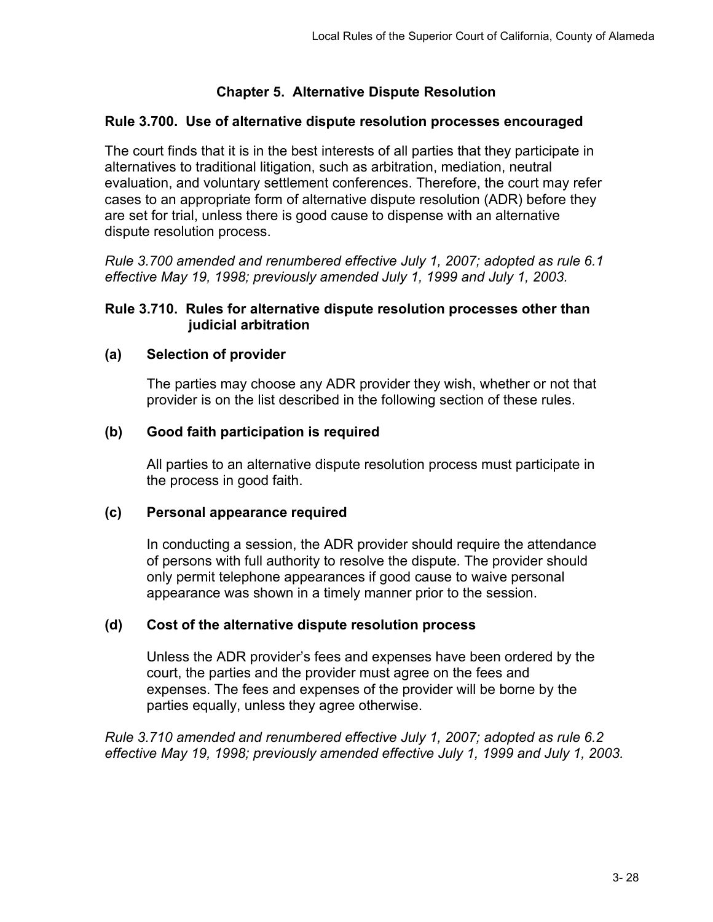# **Chapter 5. Alternative Dispute Resolution**

### **Rule 3.700. Use of alternative dispute resolution processes encouraged**

The court finds that it is in the best interests of all parties that they participate in alternatives to traditional litigation, such as arbitration, mediation, neutral evaluation, and voluntary settlement conferences. Therefore, the court may refer cases to an appropriate form of alternative dispute resolution (ADR) before they are set for trial, unless there is good cause to dispense with an alternative dispute resolution process.

*Rule 3.700 amended and renumbered effective July 1, 2007; adopted as rule 6.1 effective May 19, 1998; previously amended July 1, 1999 and July 1, 2003.*

#### **Rule 3.710. Rules for alternative dispute resolution processes other than judicial arbitration**

## **(a) Selection of provider**

The parties may choose any ADR provider they wish, whether or not that provider is on the list described in the following section of these rules.

## **(b) Good faith participation is required**

All parties to an alternative dispute resolution process must participate in the process in good faith.

#### **(c) Personal appearance required**

In conducting a session, the ADR provider should require the attendance of persons with full authority to resolve the dispute. The provider should only permit telephone appearances if good cause to waive personal appearance was shown in a timely manner prior to the session.

#### **(d) Cost of the alternative dispute resolution process**

Unless the ADR provider's fees and expenses have been ordered by the court, the parties and the provider must agree on the fees and expenses. The fees and expenses of the provider will be borne by the parties equally, unless they agree otherwise.

*Rule 3.710 amended and renumbered effective July 1, 2007; adopted as rule 6.2 effective May 19, 1998; previously amended effective July 1, 1999 and July 1, 2003.*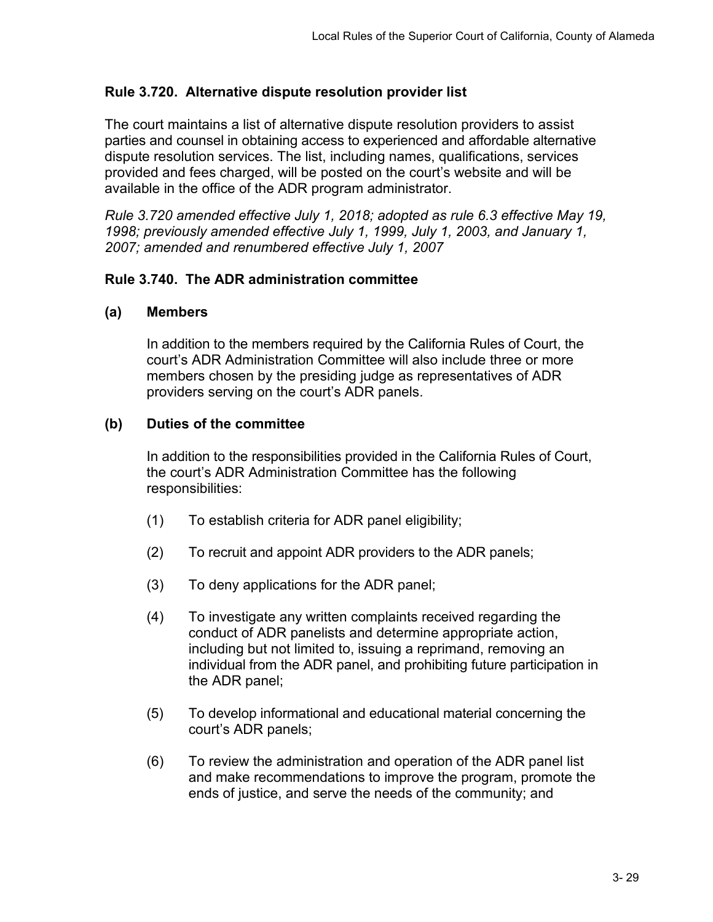# **Rule 3.720. Alternative dispute resolution provider list**

The court maintains a list of alternative dispute resolution providers to assist parties and counsel in obtaining access to experienced and affordable alternative dispute resolution services. The list, including names, qualifications, services provided and fees charged, will be posted on the court's website and will be available in the office of the ADR program administrator.

*Rule 3.720 amended effective July 1, 2018; adopted as rule 6.3 effective May 19, 1998; previously amended effective July 1, 1999, July 1, 2003, and January 1, 2007; amended and renumbered effective July 1, 2007*

#### **Rule 3.740. The ADR administration committee**

#### **(a) Members**

In addition to the members required by the California Rules of Court, the court's ADR Administration Committee will also include three or more members chosen by the presiding judge as representatives of ADR providers serving on the court's ADR panels.

#### **(b) Duties of the committee**

In addition to the responsibilities provided in the California Rules of Court, the court's ADR Administration Committee has the following responsibilities:

- (1) To establish criteria for ADR panel eligibility;
- (2) To recruit and appoint ADR providers to the ADR panels;
- (3) To deny applications for the ADR panel;
- (4) To investigate any written complaints received regarding the conduct of ADR panelists and determine appropriate action, including but not limited to, issuing a reprimand, removing an individual from the ADR panel, and prohibiting future participation in the ADR panel;
- (5) To develop informational and educational material concerning the court's ADR panels;
- (6) To review the administration and operation of the ADR panel list and make recommendations to improve the program, promote the ends of justice, and serve the needs of the community; and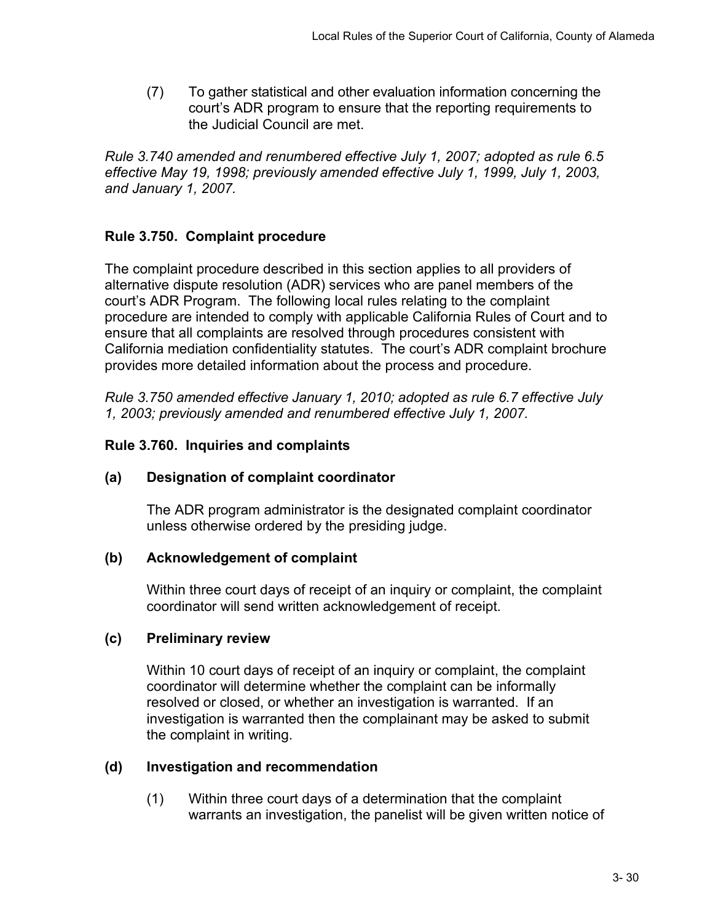(7) To gather statistical and other evaluation information concerning the court's ADR program to ensure that the reporting requirements to the Judicial Council are met.

*Rule 3.740 amended and renumbered effective July 1, 2007; adopted as rule 6.5 effective May 19, 1998; previously amended effective July 1, 1999, July 1, 2003, and January 1, 2007.* 

# **Rule 3.750. Complaint procedure**

The complaint procedure described in this section applies to all providers of alternative dispute resolution (ADR) services who are panel members of the court's ADR Program. The following local rules relating to the complaint procedure are intended to comply with applicable California Rules of Court and to ensure that all complaints are resolved through procedures consistent with California mediation confidentiality statutes. The court's ADR complaint brochure provides more detailed information about the process and procedure.

*Rule 3.750 amended effective January 1, 2010; adopted as rule 6.7 effective July 1, 2003; previously amended and renumbered effective July 1, 2007.* 

# **Rule 3.760. Inquiries and complaints**

# **(a) Designation of complaint coordinator**

The ADR program administrator is the designated complaint coordinator unless otherwise ordered by the presiding judge.

# **(b) Acknowledgement of complaint**

Within three court days of receipt of an inquiry or complaint, the complaint coordinator will send written acknowledgement of receipt.

#### **(c) Preliminary review**

Within 10 court days of receipt of an inquiry or complaint, the complaint coordinator will determine whether the complaint can be informally resolved or closed, or whether an investigation is warranted. If an investigation is warranted then the complainant may be asked to submit the complaint in writing.

# **(d) Investigation and recommendation**

(1) Within three court days of a determination that the complaint warrants an investigation, the panelist will be given written notice of